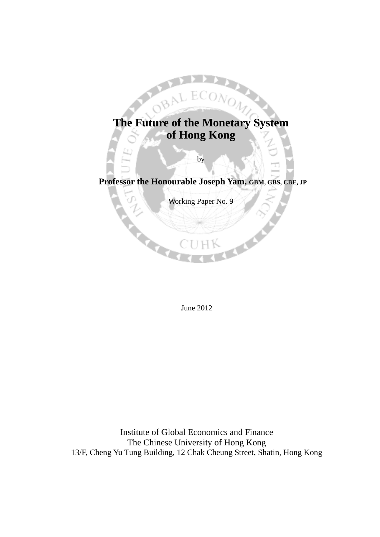

L EC

by

# **Professor the Honourable Joseph Yam, GBM, GBS, CBE, JP**

Working Paper No. 9

June 2012

Institute of Global Economics and Finance The Chinese University of Hong Kong 13/F, Cheng Yu Tung Building, 12 Chak Cheung Street, Shatin, Hong Kong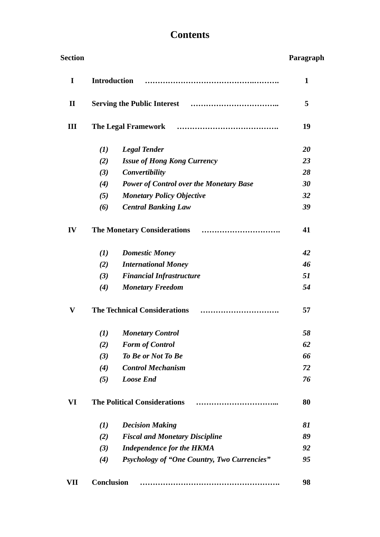# **Contents**

| <b>Section</b> |                                         |                                                    | Paragraph |
|----------------|-----------------------------------------|----------------------------------------------------|-----------|
| I              | <b>Introduction</b>                     |                                                    | 1         |
| $\mathbf{I}$   |                                         |                                                    | 5         |
| Ш              | <b>The Legal Framework</b>              |                                                    | 19        |
|                | (1)                                     | <b>Legal Tender</b>                                | 20        |
|                | (2)                                     | <b>Issue of Hong Kong Currency</b>                 | 23        |
|                | (3)                                     | Convertibility                                     | 28        |
|                | (4)                                     | <b>Power of Control over the Monetary Base</b>     | 30        |
|                | (5)                                     | <b>Monetary Policy Objective</b>                   | 32        |
|                | (6)                                     | <b>Central Banking Law</b>                         | 39        |
| IV             |                                         |                                                    | 41        |
|                | (1)                                     | <b>Domestic Money</b>                              | 42        |
|                | (2)                                     | <b>International Money</b>                         | 46        |
|                | (3)                                     | <b>Financial Infrastructure</b>                    | 51        |
|                | (4)                                     | <b>Monetary Freedom</b>                            | 54        |
| V              | <b>The Technical Considerations</b><br> |                                                    | 57        |
|                | $\mathbf{U}$                            | <b>Monetary Control</b>                            | 58        |
|                | (2)                                     | <b>Form of Control</b>                             | 62        |
|                | (3)                                     | <b>To Be or Not To Be</b>                          | 66        |
|                | (4)                                     | <b>Control Mechanism</b>                           | 72        |
|                | (5)                                     | <b>Loose End</b>                                   | 76        |
| VI             | <b>The Political Considerations</b>     |                                                    | 80        |
|                | (I)                                     | <b>Decision Making</b>                             | 81        |
|                | (2)                                     | <b>Fiscal and Monetary Discipline</b>              | 89        |
|                | (3)                                     | <b>Independence for the HKMA</b>                   | 92        |
|                | (4)                                     | <b>Psychology of "One Country, Two Currencies"</b> | 95        |
| VII            | <b>Conclusion</b>                       |                                                    | 98        |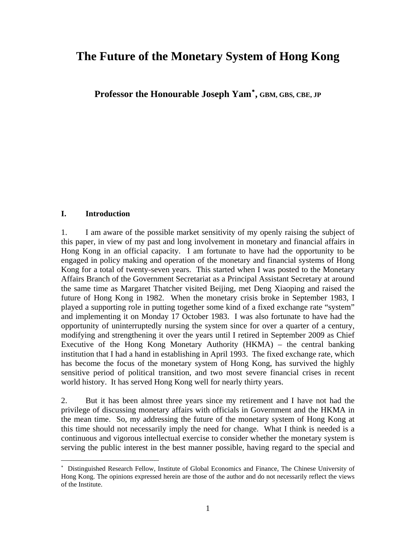# **The Future of the Monetary System of Hong Kong**

**Professor the Honourable Joseph Yam , GBM, GBS, CBE, JP**

#### **I. Introduction**

 $\overline{a}$ 

1. I am aware of the possible market sensitivity of my openly raising the subject of this paper, in view of my past and long involvement in monetary and financial affairs in Hong Kong in an official capacity. I am fortunate to have had the opportunity to be engaged in policy making and operation of the monetary and financial systems of Hong Kong for a total of twenty-seven years. This started when I was posted to the Monetary Affairs Branch of the Government Secretariat as a Principal Assistant Secretary at around the same time as Margaret Thatcher visited Beijing, met Deng Xiaoping and raised the future of Hong Kong in 1982. When the monetary crisis broke in September 1983, I played a supporting role in putting together some kind of a fixed exchange rate "system" and implementing it on Monday 17 October 1983. I was also fortunate to have had the opportunity of uninterruptedly nursing the system since for over a quarter of a century, modifying and strengthening it over the years until I retired in September 2009 as Chief Executive of the Hong Kong Monetary Authority (HKMA) – the central banking institution that I had a hand in establishing in April 1993. The fixed exchange rate, which has become the focus of the monetary system of Hong Kong, has survived the highly sensitive period of political transition, and two most severe financial crises in recent world history. It has served Hong Kong well for nearly thirty years.

2. But it has been almost three years since my retirement and I have not had the privilege of discussing monetary affairs with officials in Government and the HKMA in the mean time. So, my addressing the future of the monetary system of Hong Kong at this time should not necessarily imply the need for change. What I think is needed is a continuous and vigorous intellectual exercise to consider whether the monetary system is serving the public interest in the best manner possible, having regard to the special and

<span id="page-2-0"></span> Distinguished Research Fellow, Institute of Global Economics and Finance, The Chinese University of Hong Kong. The opinions expressed herein are those of the author and do not necessarily reflect the views of the Institute.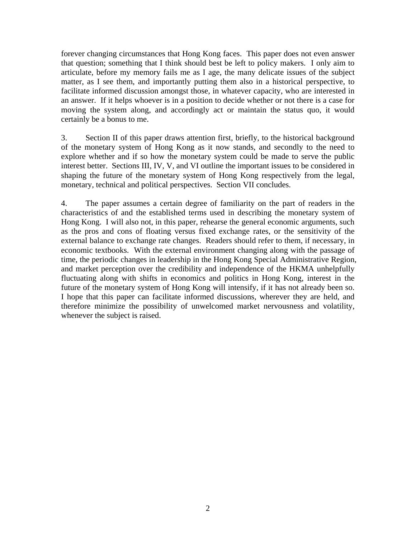forever changing circumstances that Hong Kong faces. This paper does not even answer that question; something that I think should best be left to policy makers. I only aim to articulate, before my memory fails me as I age, the many delicate issues of the subject matter, as I see them, and importantly putting them also in a historical perspective, to facilitate informed discussion amongst those, in whatever capacity, who are interested in an answer. If it helps whoever is in a position to decide whether or not there is a case for moving the system along, and accordingly act or maintain the status quo, it would certainly be a bonus to me.

3. Section II of this paper draws attention first, briefly, to the historical background of the monetary system of Hong Kong as it now stands, and secondly to the need to explore whether and if so how the monetary system could be made to serve the public interest better. Sections III, IV, V, and VI outline the important issues to be considered in shaping the future of the monetary system of Hong Kong respectively from the legal, monetary, technical and political perspectives. Section VII concludes.

4. The paper assumes a certain degree of familiarity on the part of readers in the characteristics of and the established terms used in describing the monetary system of Hong Kong. I will also not, in this paper, rehearse the general economic arguments, such as the pros and cons of floating versus fixed exchange rates, or the sensitivity of the external balance to exchange rate changes. Readers should refer to them, if necessary, in economic textbooks. With the external environment changing along with the passage of time, the periodic changes in leadership in the Hong Kong Special Administrative Region, and market perception over the credibility and independence of the HKMA unhelpfully fluctuating along with shifts in economics and politics in Hong Kong, interest in the future of the monetary system of Hong Kong will intensify, if it has not already been so. I hope that this paper can facilitate informed discussions, wherever they are held, and therefore minimize the possibility of unwelcomed market nervousness and volatility, whenever the subject is raised.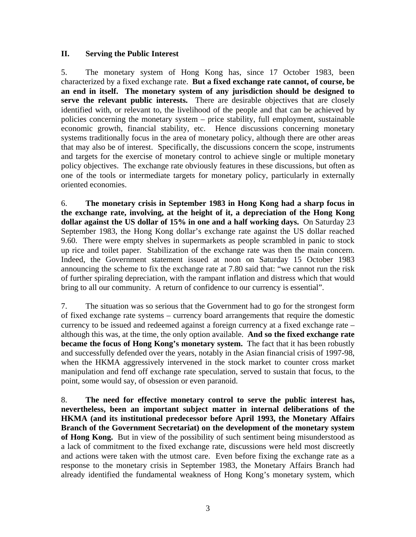#### **II. Serving the Public Interest**

5. The monetary system of Hong Kong has, since 17 October 1983, been characterized by a fixed exchange rate. **But a fixed exchange rate cannot, of course, be an end in itself. The monetary system of any jurisdiction should be designed to serve the relevant public interests.** There are desirable objectives that are closely identified with, or relevant to, the livelihood of the people and that can be achieved by policies concerning the monetary system – price stability, full employment, sustainable economic growth, financial stability, etc. Hence discussions concerning monetary systems traditionally focus in the area of monetary policy, although there are other areas that may also be of interest. Specifically, the discussions concern the scope, instruments and targets for the exercise of monetary control to achieve single or multiple monetary policy objectives. The exchange rate obviously features in these discussions, but often as one of the tools or intermediate targets for monetary policy, particularly in externally oriented economies.

6. **The monetary crisis in September 1983 in Hong Kong had a sharp focus in the exchange rate, involving, at the height of it, a depreciation of the Hong Kong dollar against the US dollar of 15% in one and a half working days.** On Saturday 23 September 1983, the Hong Kong dollar's exchange rate against the US dollar reached 9.60. There were empty shelves in supermarkets as people scrambled in panic to stock up rice and toilet paper. Stabilization of the exchange rate was then the main concern. Indeed, the Government statement issued at noon on Saturday 15 October 1983 announcing the scheme to fix the exchange rate at 7.80 said that: "we cannot run the risk of further spiraling depreciation, with the rampant inflation and distress which that would bring to all our community. A return of confidence to our currency is essential".

7. The situation was so serious that the Government had to go for the strongest form of fixed exchange rate systems – currency board arrangements that require the domestic currency to be issued and redeemed against a foreign currency at a fixed exchange rate – although this was, at the time, the only option available. **And so the fixed exchange rate became the focus of Hong Kong's monetary system.** The fact that it has been robustly and successfully defended over the years, notably in the Asian financial crisis of 1997-98, when the HKMA aggressively intervened in the stock market to counter cross market manipulation and fend off exchange rate speculation, served to sustain that focus, to the point, some would say, of obsession or even paranoid.

8. **The need for effective monetary control to serve the public interest has, nevertheless, been an important subject matter in internal deliberations of the HKMA (and its institutional predecessor before April 1993, the Monetary Affairs Branch of the Government Secretariat) on the development of the monetary system of Hong Kong.** But in view of the possibility of such sentiment being misunderstood as a lack of commitment to the fixed exchange rate, discussions were held most discreetly and actions were taken with the utmost care. Even before fixing the exchange rate as a response to the monetary crisis in September 1983, the Monetary Affairs Branch had already identified the fundamental weakness of Hong Kong's monetary system, which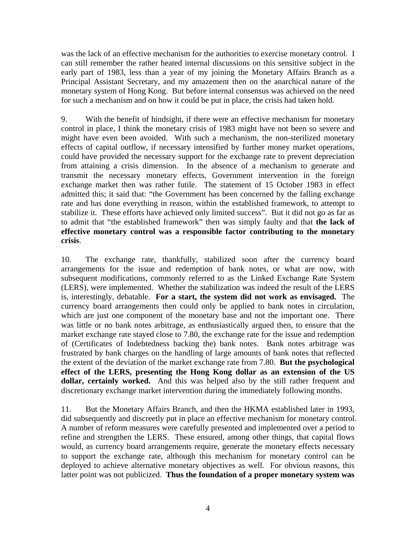was the lack of an effective mechanism for the authorities to exercise monetary control. I can still remember the rather heated internal discussions on this sensitive subject in the early part of 1983, less than a year of my joining the Monetary Affairs Branch as a Principal Assistant Secretary, and my amazement then on the anarchical nature of the monetary system of Hong Kong. But before internal consensus was achieved on the need for such a mechanism and on how it could be put in place, the crisis had taken hold.

9. With the benefit of hindsight, if there were an effective mechanism for monetary control in place, I think the monetary crisis of 1983 might have not been so severe and might have even been avoided. With such a mechanism, the non-sterilized monetary effects of capital outflow, if necessary intensified by further money market operations, could have provided the necessary support for the exchange rate to prevent depreciation from attaining a crisis dimension. In the absence of a mechanism to generate and transmit the necessary monetary effects, Government intervention in the foreign exchange market then was rather futile. The statement of 15 October 1983 in effect admitted this; it said that: "the Government has been concerned by the falling exchange rate and has done everything in reason, within the established framework, to attempt to stabilize it. These efforts have achieved only limited success". But it did not go as far as to admit that "the established framework" then was simply faulty and that **the lack of effective monetary control was a responsible factor contributing to the monetary crisis**.

10. The exchange rate, thankfully, stabilized soon after the currency board arrangements for the issue and redemption of bank notes, or what are now, with subsequent modifications, commonly referred to as the Linked Exchange Rate System (LERS), were implemented. Whether the stabilization was indeed the result of the LERS is, interestingly, debatable. **For a start, the system did not work as envisaged.** The currency board arrangements then could only be applied to bank notes in circulation, which are just one component of the monetary base and not the important one. There was little or no bank notes arbitrage, as enthusiastically argued then, to ensure that the market exchange rate stayed close to 7.80, the exchange rate for the issue and redemption of (Certificates of Indebtedness backing the) bank notes. Bank notes arbitrage was frustrated by bank charges on the handling of large amounts of bank notes that reflected the extent of the deviation of the market exchange rate from 7.80. **But the psychological effect of the LERS, presenting the Hong Kong dollar as an extension of the US dollar, certainly worked.** And this was helped also by the still rather frequent and discretionary exchange market intervention during the immediately following months.

11. But the Monetary Affairs Branch, and then the HKMA established later in 1993, did subsequently and discreetly put in place an effective mechanism for monetary control. A number of reform measures were carefully presented and implemented over a period to refine and strengthen the LERS. These ensured, among other things, that capital flows would, as currency board arrangements require, generate the monetary effects necessary to support the exchange rate, although this mechanism for monetary control can be deployed to achieve alternative monetary objectives as well. For obvious reasons, this latter point was not publicized. **Thus the foundation of a proper monetary system was**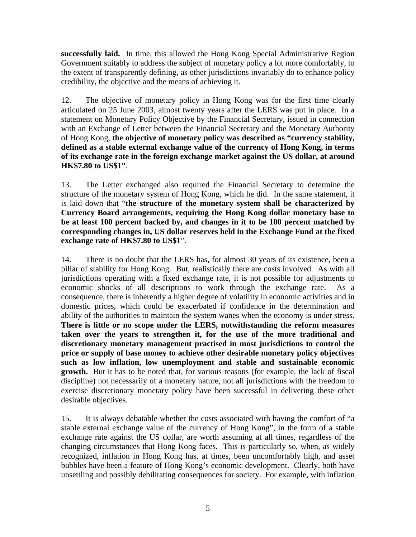**successfully laid.** In time, this allowed the Hong Kong Special Administrative Region Government suitably to address the subject of monetary policy a lot more comfortably, to the extent of transparently defining, as other jurisdictions invariably do to enhance policy credibility, the objective and the means of achieving it.

12. The objective of monetary policy in Hong Kong was for the first time clearly articulated on 25 June 2003, almost twenty years after the LERS was put in place. In a statement on Monetary Policy Objective by the Financial Secretary, issued in connection with an Exchange of Letter between the Financial Secretary and the Monetary Authority of Hong Kong, **the objective of monetary policy was described as "currency stability, defined as a stable external exchange value of the currency of Hong Kong, in terms of its exchange rate in the foreign exchange market against the US dollar, at around HK\$7.80 to US\$1"**.

13. The Letter exchanged also required the Financial Secretary to determine the structure of the monetary system of Hong Kong, which he did. In the same statement, it is laid down that "**the structure of the monetary system shall be characterized by Currency Board arrangements, requiring the Hong Kong dollar monetary base to be at least 100 percent backed by, and changes in it to be 100 percent matched by corresponding changes in, US dollar reserves held in the Exchange Fund at the fixed exchange rate of HK\$7.80 to US\$1**".

14. There is no doubt that the LERS has, for almost 30 years of its existence, been a pillar of stability for Hong Kong. But, realistically there are costs involved. As with all jurisdictions operating with a fixed exchange rate, it is not possible for adjustments to economic shocks of all descriptions to work through the exchange rate. As a consequence, there is inherently a higher degree of volatility in economic activities and in domestic prices, which could be exacerbated if confidence in the determination and ability of the authorities to maintain the system wanes when the economy is under stress. **There is little or no scope under the LERS, notwithstanding the reform measures taken over the years to strengthen it, for the use of the more traditional and discretionary monetary management practised in most jurisdictions to control the price or supply of base money to achieve other desirable monetary policy objectives such as low inflation, low unemployment and stable and sustainable economic growth.** But it has to be noted that, for various reasons (for example, the lack of fiscal discipline) not necessarily of a monetary nature, not all jurisdictions with the freedom to exercise discretionary monetary policy have been successful in delivering these other desirable objectives.

15. It is always debatable whether the costs associated with having the comfort of "a stable external exchange value of the currency of Hong Kong", in the form of a stable exchange rate against the US dollar, are worth assuming at all times, regardless of the changing circumstances that Hong Kong faces. This is particularly so, when, as widely recognized, inflation in Hong Kong has, at times, been uncomfortably high, and asset bubbles have been a feature of Hong Kong's economic development. Clearly, both have unsettling and possibly debilitating consequences for society. For example, with inflation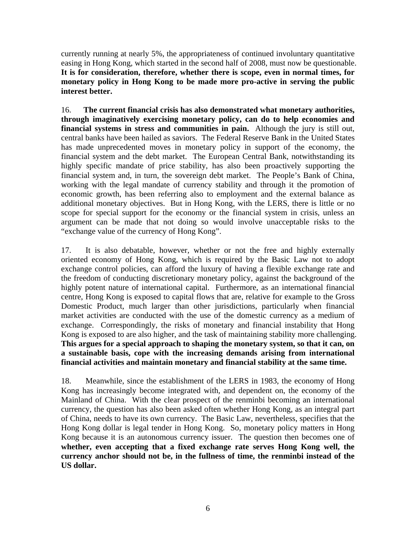currently running at nearly 5%, the appropriateness of continued involuntary quantitative easing in Hong Kong, which started in the second half of 2008, must now be questionable. **It is for consideration, therefore, whether there is scope, even in normal times, for monetary policy in Hong Kong to be made more pro-active in serving the public interest better.** 

16. **The current financial crisis has also demonstrated what monetary authorities, through imaginatively exercising monetary policy, can do to help economies and financial systems in stress and communities in pain.** Although the jury is still out, central banks have been hailed as saviors. The Federal Reserve Bank in the United States has made unprecedented moves in monetary policy in support of the economy, the financial system and the debt market. The European Central Bank, notwithstanding its highly specific mandate of price stability, has also been proactively supporting the financial system and, in turn, the sovereign debt market. The People's Bank of China, working with the legal mandate of currency stability and through it the promotion of economic growth, has been referring also to employment and the external balance as additional monetary objectives. But in Hong Kong, with the LERS, there is little or no scope for special support for the economy or the financial system in crisis, unless an argument can be made that not doing so would involve unacceptable risks to the "exchange value of the currency of Hong Kong".

17. It is also debatable, however, whether or not the free and highly externally oriented economy of Hong Kong, which is required by the Basic Law not to adopt exchange control policies, can afford the luxury of having a flexible exchange rate and the freedom of conducting discretionary monetary policy, against the background of the highly potent nature of international capital. Furthermore, as an international financial centre, Hong Kong is exposed to capital flows that are, relative for example to the Gross Domestic Product, much larger than other jurisdictions, particularly when financial market activities are conducted with the use of the domestic currency as a medium of exchange. Correspondingly, the risks of monetary and financial instability that Hong Kong is exposed to are also higher, and the task of maintaining stability more challenging. **This argues for a special approach to shaping the monetary system, so that it can, on a sustainable basis, cope with the increasing demands arising from international financial activities and maintain monetary and financial stability at the same time.**

18. Meanwhile, since the establishment of the LERS in 1983, the economy of Hong Kong has increasingly become integrated with, and dependent on, the economy of the Mainland of China. With the clear prospect of the renminbi becoming an international currency, the question has also been asked often whether Hong Kong, as an integral part of China, needs to have its own currency. The Basic Law, nevertheless, specifies that the Hong Kong dollar is legal tender in Hong Kong. So, monetary policy matters in Hong Kong because it is an autonomous currency issuer. The question then becomes one of **whether, even accepting that a fixed exchange rate serves Hong Kong well, the currency anchor should not be, in the fullness of time, the renminbi instead of the US dollar.**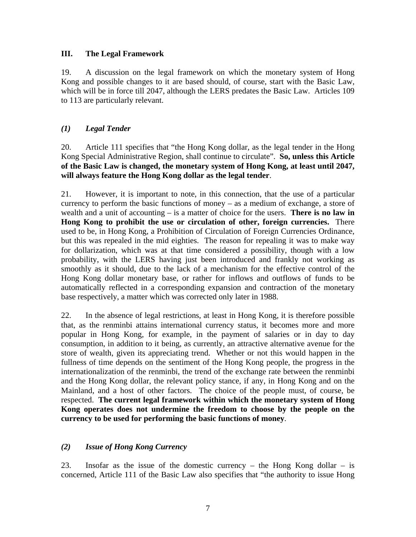#### **III. The Legal Framework**

19. A discussion on the legal framework on which the monetary system of Hong Kong and possible changes to it are based should, of course, start with the Basic Law, which will be in force till 2047, although the LERS predates the Basic Law. Articles 109 to 113 are particularly relevant.

## *(1) Legal Tender*

20. Article 111 specifies that "the Hong Kong dollar, as the legal tender in the Hong Kong Special Administrative Region, shall continue to circulate". **So, unless this Article of the Basic Law is changed, the monetary system of Hong Kong, at least until 2047, will always feature the Hong Kong dollar as the legal tender**.

21. However, it is important to note, in this connection, that the use of a particular currency to perform the basic functions of money – as a medium of exchange, a store of wealth and a unit of accounting – is a matter of choice for the users. **There is no law in Hong Kong to prohibit the use or circulation of other, foreign currencies.** There used to be, in Hong Kong, a Prohibition of Circulation of Foreign Currencies Ordinance, but this was repealed in the mid eighties. The reason for repealing it was to make way for dollarization, which was at that time considered a possibility, though with a low probability, with the LERS having just been introduced and frankly not working as smoothly as it should, due to the lack of a mechanism for the effective control of the Hong Kong dollar monetary base, or rather for inflows and outflows of funds to be automatically reflected in a corresponding expansion and contraction of the monetary base respectively, a matter which was corrected only later in 1988.

22. In the absence of legal restrictions, at least in Hong Kong, it is therefore possible that, as the renminbi attains international currency status, it becomes more and more popular in Hong Kong, for example, in the payment of salaries or in day to day consumption, in addition to it being, as currently, an attractive alternative avenue for the store of wealth, given its appreciating trend. Whether or not this would happen in the fullness of time depends on the sentiment of the Hong Kong people, the progress in the internationalization of the renminbi, the trend of the exchange rate between the renminbi and the Hong Kong dollar, the relevant policy stance, if any, in Hong Kong and on the Mainland, and a host of other factors. The choice of the people must, of course, be respected. **The current legal framework within which the monetary system of Hong Kong operates does not undermine the freedom to choose by the people on the currency to be used for performing the basic functions of money**.

### *(2) Issue of Hong Kong Currency*

23. Insofar as the issue of the domestic currency – the Hong Kong dollar – is concerned, Article 111 of the Basic Law also specifies that "the authority to issue Hong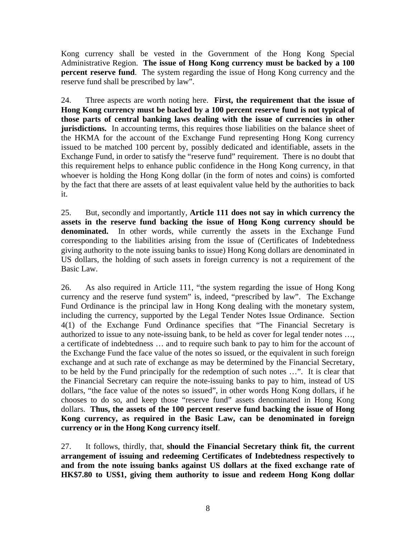Kong currency shall be vested in the Government of the Hong Kong Special Administrative Region. **The issue of Hong Kong currency must be backed by a 100 percent reserve fund**. The system regarding the issue of Hong Kong currency and the reserve fund shall be prescribed by law".

24. Three aspects are worth noting here. **First, the requirement that the issue of Hong Kong currency must be backed by a 100 percent reserve fund is not typical of those parts of central banking laws dealing with the issue of currencies in other jurisdictions.** In accounting terms, this requires those liabilities on the balance sheet of the HKMA for the account of the Exchange Fund representing Hong Kong currency issued to be matched 100 percent by, possibly dedicated and identifiable, assets in the Exchange Fund, in order to satisfy the "reserve fund" requirement. There is no doubt that this requirement helps to enhance public confidence in the Hong Kong currency, in that whoever is holding the Hong Kong dollar (in the form of notes and coins) is comforted by the fact that there are assets of at least equivalent value held by the authorities to back it.

25. But, secondly and importantly, **Article 111 does not say in which currency the assets in the reserve fund backing the issue of Hong Kong currency should be**  denominated. In other words, while currently the assets in the Exchange Fund corresponding to the liabilities arising from the issue of (Certificates of Indebtedness giving authority to the note issuing banks to issue) Hong Kong dollars are denominated in US dollars, the holding of such assets in foreign currency is not a requirement of the Basic Law.

26. As also required in Article 111, "the system regarding the issue of Hong Kong currency and the reserve fund system" is, indeed, "prescribed by law". The Exchange Fund Ordinance is the principal law in Hong Kong dealing with the monetary system, including the currency, supported by the Legal Tender Notes Issue Ordinance. Section 4(1) of the Exchange Fund Ordinance specifies that "The Financial Secretary is authorized to issue to any note-issuing bank, to be held as cover for legal tender notes …, a certificate of indebtedness … and to require such bank to pay to him for the account of the Exchange Fund the face value of the notes so issued, or the equivalent in such foreign exchange and at such rate of exchange as may be determined by the Financial Secretary, to be held by the Fund principally for the redemption of such notes …". It is clear that the Financial Secretary can require the note-issuing banks to pay to him, instead of US dollars, "the face value of the notes so issued", in other words Hong Kong dollars, if he chooses to do so, and keep those "reserve fund" assets denominated in Hong Kong dollars. **Thus, the assets of the 100 percent reserve fund backing the issue of Hong Kong currency, as required in the Basic Law, can be denominated in foreign currency or in the Hong Kong currency itself**.

27. It follows, thirdly, that, **should the Financial Secretary think fit, the current arrangement of issuing and redeeming Certificates of Indebtedness respectively to and from the note issuing banks against US dollars at the fixed exchange rate of HK\$7.80 to US\$1, giving them authority to issue and redeem Hong Kong dollar**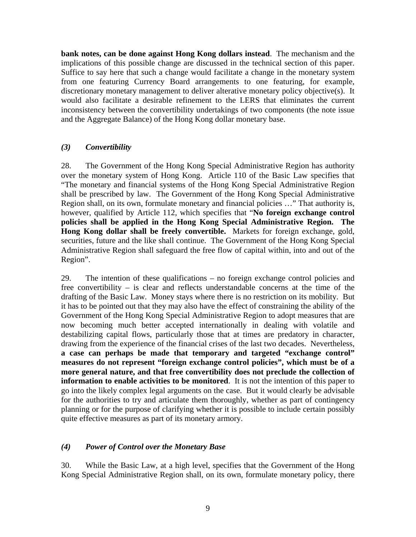**bank notes, can be done against Hong Kong dollars instead**. The mechanism and the implications of this possible change are discussed in the technical section of this paper. Suffice to say here that such a change would facilitate a change in the monetary system from one featuring Currency Board arrangements to one featuring, for example, discretionary monetary management to deliver alterative monetary policy objective(s). It would also facilitate a desirable refinement to the LERS that eliminates the current inconsistency between the convertibility undertakings of two components (the note issue and the Aggregate Balance) of the Hong Kong dollar monetary base.

### *(3) Convertibility*

28. The Government of the Hong Kong Special Administrative Region has authority over the monetary system of Hong Kong. Article 110 of the Basic Law specifies that "The monetary and financial systems of the Hong Kong Special Administrative Region shall be prescribed by law. The Government of the Hong Kong Special Administrative Region shall, on its own, formulate monetary and financial policies …" That authority is, however, qualified by Article 112, which specifies that "**No foreign exchange control policies shall be applied in the Hong Kong Special Administrative Region. The Hong Kong dollar shall be freely convertible.** Markets for foreign exchange, gold, securities, future and the like shall continue. The Government of the Hong Kong Special Administrative Region shall safeguard the free flow of capital within, into and out of the Region".

29. The intention of these qualifications – no foreign exchange control policies and free convertibility – is clear and reflects understandable concerns at the time of the drafting of the Basic Law. Money stays where there is no restriction on its mobility. But it has to be pointed out that they may also have the effect of constraining the ability of the Government of the Hong Kong Special Administrative Region to adopt measures that are now becoming much better accepted internationally in dealing with volatile and destabilizing capital flows, particularly those that at times are predatory in character, drawing from the experience of the financial crises of the last two decades. Nevertheless, **a case can perhaps be made that temporary and targeted "exchange control" measures do not represent "foreign exchange control policies", which must be of a more general nature, and that free convertibility does not preclude the collection of information to enable activities to be monitored**. It is not the intention of this paper to go into the likely complex legal arguments on the case. But it would clearly be advisable for the authorities to try and articulate them thoroughly, whether as part of contingency planning or for the purpose of clarifying whether it is possible to include certain possibly quite effective measures as part of its monetary armory.

### *(4) Power of Control over the Monetary Base*

30. While the Basic Law, at a high level, specifies that the Government of the Hong Kong Special Administrative Region shall, on its own, formulate monetary policy, there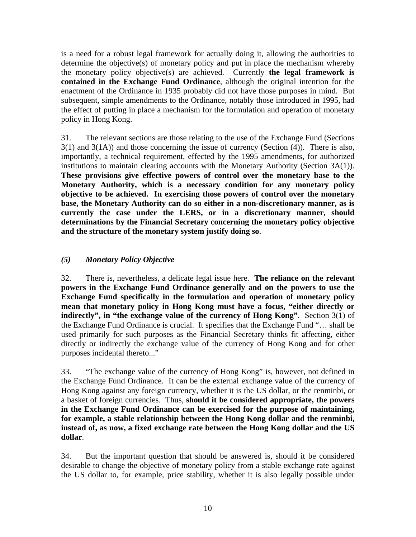is a need for a robust legal framework for actually doing it, allowing the authorities to determine the objective(s) of monetary policy and put in place the mechanism whereby the monetary policy objective(s) are achieved. Currently **the legal framework is contained in the Exchange Fund Ordinance**, although the original intention for the enactment of the Ordinance in 1935 probably did not have those purposes in mind. But subsequent, simple amendments to the Ordinance, notably those introduced in 1995, had the effect of putting in place a mechanism for the formulation and operation of monetary policy in Hong Kong.

31. The relevant sections are those relating to the use of the Exchange Fund (Sections  $3(1)$  and  $3(1A)$ ) and those concerning the issue of currency (Section (4)). There is also, importantly, a technical requirement, effected by the 1995 amendments, for authorized institutions to maintain clearing accounts with the Monetary Authority (Section 3A(1)). **These provisions give effective powers of control over the monetary base to the Monetary Authority, which is a necessary condition for any monetary policy objective to be achieved. In exercising those powers of control over the monetary base, the Monetary Authority can do so either in a non-discretionary manner, as is currently the case under the LERS, or in a discretionary manner, should determinations by the Financial Secretary concerning the monetary policy objective and the structure of the monetary system justify doing so**.

# *(5) Monetary Policy Objective*

32. There is, nevertheless, a delicate legal issue here. **The reliance on the relevant powers in the Exchange Fund Ordinance generally and on the powers to use the Exchange Fund specifically in the formulation and operation of monetary policy mean that monetary policy in Hong Kong must have a focus, "either directly or indirectly", in "the exchange value of the currency of Hong Kong"**. Section 3(1) of the Exchange Fund Ordinance is crucial. It specifies that the Exchange Fund "… shall be used primarily for such purposes as the Financial Secretary thinks fit affecting, either directly or indirectly the exchange value of the currency of Hong Kong and for other purposes incidental thereto..."

33. "The exchange value of the currency of Hong Kong" is, however, not defined in the Exchange Fund Ordinance. It can be the external exchange value of the currency of Hong Kong against any foreign currency, whether it is the US dollar, or the renminbi, or a basket of foreign currencies. Thus, **should it be considered appropriate, the powers in the Exchange Fund Ordinance can be exercised for the purpose of maintaining, for example, a stable relationship between the Hong Kong dollar and the renminbi, instead of, as now, a fixed exchange rate between the Hong Kong dollar and the US dollar**.

34. But the important question that should be answered is, should it be considered desirable to change the objective of monetary policy from a stable exchange rate against the US dollar to, for example, price stability, whether it is also legally possible under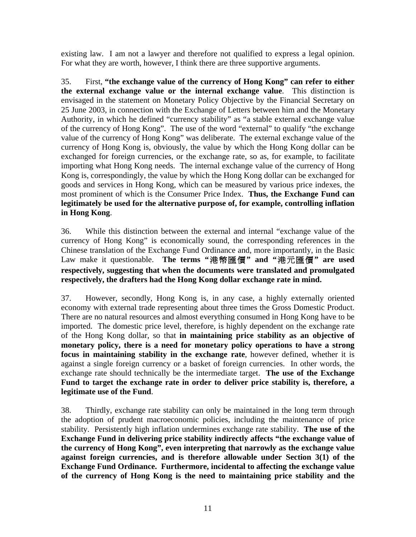existing law. I am not a lawyer and therefore not qualified to express a legal opinion. For what they are worth, however, I think there are three supportive arguments.

35. First, **"the exchange value of the currency of Hong Kong" can refer to either the external exchange value or the internal exchange value**. This distinction is envisaged in the statement on Monetary Policy Objective by the Financial Secretary on 25 June 2003, in connection with the Exchange of Letters between him and the Monetary Authority, in which he defined "currency stability" as "a stable external exchange value of the currency of Hong Kong". The use of the word "external" to qualify "the exchange value of the currency of Hong Kong" was deliberate. The external exchange value of the currency of Hong Kong is, obviously, the value by which the Hong Kong dollar can be exchanged for foreign currencies, or the exchange rate, so as, for example, to facilitate importing what Hong Kong needs. The internal exchange value of the currency of Hong Kong is, correspondingly, the value by which the Hong Kong dollar can be exchanged for goods and services in Hong Kong, which can be measured by various price indexes, the most prominent of which is the Consumer Price Index. **Thus, the Exchange Fund can legitimately be used for the alternative purpose of, for example, controlling inflation in Hong Kong**.

36. While this distinction between the external and internal "exchange value of the currency of Hong Kong" is economically sound, the corresponding references in the Chinese translation of the Exchange Fund Ordinance and, more importantly, in the Basic Law make it questionable. **The terms "**港幣匯價**" and "**港元匯價**" are used respectively, suggesting that when the documents were translated and promulgated respectively, the drafters had the Hong Kong dollar exchange rate in mind.**

37. However, secondly, Hong Kong is, in any case, a highly externally oriented economy with external trade representing about three times the Gross Domestic Product. There are no natural resources and almost everything consumed in Hong Kong have to be imported. The domestic price level, therefore, is highly dependent on the exchange rate of the Hong Kong dollar, so that **in maintaining price stability as an objective of monetary policy, there is a need for monetary policy operations to have a strong focus in maintaining stability in the exchange rate**, however defined, whether it is against a single foreign currency or a basket of foreign currencies. In other words, the exchange rate should technically be the intermediate target. **The use of the Exchange Fund to target the exchange rate in order to deliver price stability is, therefore, a legitimate use of the Fund**.

38. Thirdly, exchange rate stability can only be maintained in the long term through the adoption of prudent macroeconomic policies, including the maintenance of price stability. Persistently high inflation undermines exchange rate stability. **The use of the Exchange Fund in delivering price stability indirectly affects "the exchange value of the currency of Hong Kong", even interpreting that narrowly as the exchange value against foreign currencies, and is therefore allowable under Section 3(1) of the Exchange Fund Ordinance. Furthermore, incidental to affecting the exchange value of the currency of Hong Kong is the need to maintaining price stability and the**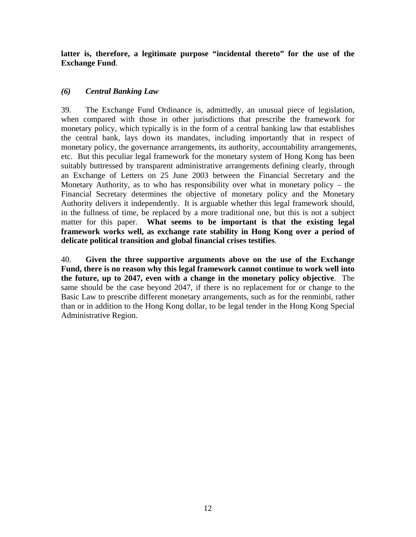**latter is, therefore, a legitimate purpose "incidental thereto" for the use of the Exchange Fund**.

## *(6) Central Banking Law*

39. The Exchange Fund Ordinance is, admittedly, an unusual piece of legislation, when compared with those in other jurisdictions that prescribe the framework for monetary policy, which typically is in the form of a central banking law that establishes the central bank, lays down its mandates, including importantly that in respect of monetary policy, the governance arrangements, its authority, accountability arrangements, etc. But this peculiar legal framework for the monetary system of Hong Kong has been suitably buttressed by transparent administrative arrangements defining clearly, through an Exchange of Letters on 25 June 2003 between the Financial Secretary and the Monetary Authority, as to who has responsibility over what in monetary policy – the Financial Secretary determines the objective of monetary policy and the Monetary Authority delivers it independently. It is arguable whether this legal framework should, in the fullness of time, be replaced by a more traditional one, but this is not a subject matter for this paper. **What seems to be important is that the existing legal framework works well, as exchange rate stability in Hong Kong over a period of delicate political transition and global financial crises testifies**.

40. **Given the three supportive arguments above on the use of the Exchange Fund, there is no reason why this legal framework cannot continue to work well into the future, up to 2047, even with a change in the monetary policy objective**. The same should be the case beyond 2047, if there is no replacement for or change to the Basic Law to prescribe different monetary arrangements, such as for the renminbi, rather than or in addition to the Hong Kong dollar, to be legal tender in the Hong Kong Special Administrative Region.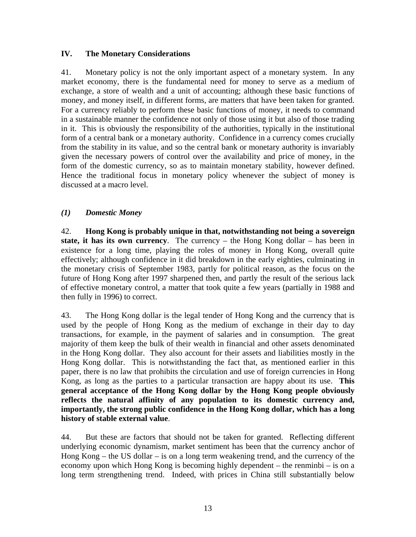#### **IV. The Monetary Considerations**

41. Monetary policy is not the only important aspect of a monetary system. In any market economy, there is the fundamental need for money to serve as a medium of exchange, a store of wealth and a unit of accounting; although these basic functions of money, and money itself, in different forms, are matters that have been taken for granted. For a currency reliably to perform these basic functions of money, it needs to command in a sustainable manner the confidence not only of those using it but also of those trading in it. This is obviously the responsibility of the authorities, typically in the institutional form of a central bank or a monetary authority. Confidence in a currency comes crucially from the stability in its value, and so the central bank or monetary authority is invariably given the necessary powers of control over the availability and price of money, in the form of the domestic currency, so as to maintain monetary stability, however defined. Hence the traditional focus in monetary policy whenever the subject of money is discussed at a macro level.

### *(1) Domestic Money*

42. **Hong Kong is probably unique in that, notwithstanding not being a sovereign state, it has its own currency**. The currency – the Hong Kong dollar – has been in existence for a long time, playing the roles of money in Hong Kong, overall quite effectively; although confidence in it did breakdown in the early eighties, culminating in the monetary crisis of September 1983, partly for political reason, as the focus on the future of Hong Kong after 1997 sharpened then, and partly the result of the serious lack of effective monetary control, a matter that took quite a few years (partially in 1988 and then fully in 1996) to correct.

43. The Hong Kong dollar is the legal tender of Hong Kong and the currency that is used by the people of Hong Kong as the medium of exchange in their day to day transactions, for example, in the payment of salaries and in consumption. The great majority of them keep the bulk of their wealth in financial and other assets denominated in the Hong Kong dollar. They also account for their assets and liabilities mostly in the Hong Kong dollar. This is notwithstanding the fact that, as mentioned earlier in this paper, there is no law that prohibits the circulation and use of foreign currencies in Hong Kong, as long as the parties to a particular transaction are happy about its use. **This general acceptance of the Hong Kong dollar by the Hong Kong people obviously reflects the natural affinity of any population to its domestic currency and, importantly, the strong public confidence in the Hong Kong dollar, which has a long history of stable external value**.

44. But these are factors that should not be taken for granted. Reflecting different underlying economic dynamism, market sentiment has been that the currency anchor of Hong Kong – the US dollar – is on a long term weakening trend, and the currency of the economy upon which Hong Kong is becoming highly dependent – the renminbi – is on a long term strengthening trend. Indeed, with prices in China still substantially below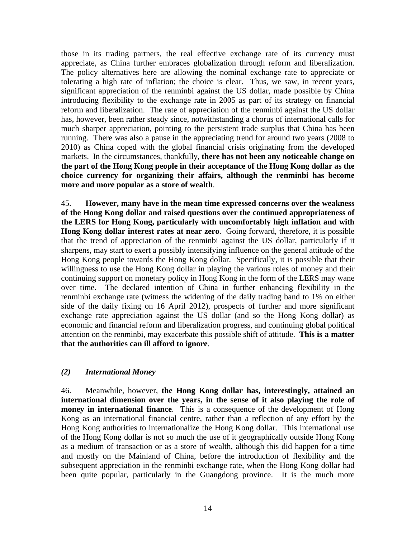those in its trading partners, the real effective exchange rate of its currency must appreciate, as China further embraces globalization through reform and liberalization. The policy alternatives here are allowing the nominal exchange rate to appreciate or tolerating a high rate of inflation; the choice is clear. Thus, we saw, in recent years, significant appreciation of the renminbi against the US dollar, made possible by China introducing flexibility to the exchange rate in 2005 as part of its strategy on financial reform and liberalization. The rate of appreciation of the renminbi against the US dollar has, however, been rather steady since, notwithstanding a chorus of international calls for much sharper appreciation, pointing to the persistent trade surplus that China has been running. There was also a pause in the appreciating trend for around two years (2008 to 2010) as China coped with the global financial crisis originating from the developed markets. In the circumstances, thankfully, **there has not been any noticeable change on the part of the Hong Kong people in their acceptance of the Hong Kong dollar as the choice currency for organizing their affairs, although the renminbi has become more and more popular as a store of wealth**.

45. **However, many have in the mean time expressed concerns over the weakness of the Hong Kong dollar and raised questions over the continued appropriateness of the LERS for Hong Kong, particularly with uncomfortably high inflation and with Hong Kong dollar interest rates at near zero**. Going forward, therefore, it is possible that the trend of appreciation of the renminbi against the US dollar, particularly if it sharpens, may start to exert a possibly intensifying influence on the general attitude of the Hong Kong people towards the Hong Kong dollar. Specifically, it is possible that their willingness to use the Hong Kong dollar in playing the various roles of money and their continuing support on monetary policy in Hong Kong in the form of the LERS may wane over time. The declared intention of China in further enhancing flexibility in the renminbi exchange rate (witness the widening of the daily trading band to 1% on either side of the daily fixing on 16 April 2012), prospects of further and more significant exchange rate appreciation against the US dollar (and so the Hong Kong dollar) as economic and financial reform and liberalization progress, and continuing global political attention on the renminbi, may exacerbate this possible shift of attitude. **This is a matter that the authorities can ill afford to ignore**.

### *(2) International Money*

46. Meanwhile, however, **the Hong Kong dollar has, interestingly, attained an international dimension over the years, in the sense of it also playing the role of money in international finance**. This is a consequence of the development of Hong Kong as an international financial centre, rather than a reflection of any effort by the Hong Kong authorities to internationalize the Hong Kong dollar. This international use of the Hong Kong dollar is not so much the use of it geographically outside Hong Kong as a medium of transaction or as a store of wealth, although this did happen for a time and mostly on the Mainland of China, before the introduction of flexibility and the subsequent appreciation in the renminbi exchange rate, when the Hong Kong dollar had been quite popular, particularly in the Guangdong province. It is the much more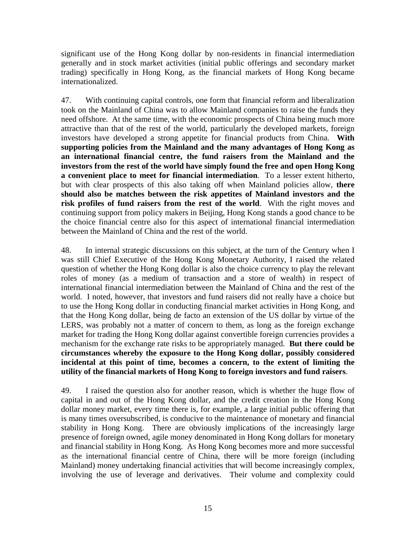significant use of the Hong Kong dollar by non-residents in financial intermediation generally and in stock market activities (initial public offerings and secondary market trading) specifically in Hong Kong, as the financial markets of Hong Kong became internationalized.

47. With continuing capital controls, one form that financial reform and liberalization took on the Mainland of China was to allow Mainland companies to raise the funds they need offshore. At the same time, with the economic prospects of China being much more attractive than that of the rest of the world, particularly the developed markets, foreign investors have developed a strong appetite for financial products from China. **With supporting policies from the Mainland and the many advantages of Hong Kong as an international financial centre, the fund raisers from the Mainland and the investors from the rest of the world have simply found the free and open Hong Kong a convenient place to meet for financial intermediation**. To a lesser extent hitherto, but with clear prospects of this also taking off when Mainland policies allow, **there should also be matches between the risk appetites of Mainland investors and the risk profiles of fund raisers from the rest of the world**. With the right moves and continuing support from policy makers in Beijing, Hong Kong stands a good chance to be the choice financial centre also for this aspect of international financial intermediation between the Mainland of China and the rest of the world.

48. In internal strategic discussions on this subject, at the turn of the Century when I was still Chief Executive of the Hong Kong Monetary Authority, I raised the related question of whether the Hong Kong dollar is also the choice currency to play the relevant roles of money (as a medium of transaction and a store of wealth) in respect of international financial intermediation between the Mainland of China and the rest of the world. I noted, however, that investors and fund raisers did not really have a choice but to use the Hong Kong dollar in conducting financial market activities in Hong Kong, and that the Hong Kong dollar, being de facto an extension of the US dollar by virtue of the LERS, was probably not a matter of concern to them, as long as the foreign exchange market for trading the Hong Kong dollar against convertible foreign currencies provides a mechanism for the exchange rate risks to be appropriately managed. **But there could be circumstances whereby the exposure to the Hong Kong dollar, possibly considered incidental at this point of time, becomes a concern, to the extent of limiting the utility of the financial markets of Hong Kong to foreign investors and fund raisers**.

49. I raised the question also for another reason, which is whether the huge flow of capital in and out of the Hong Kong dollar, and the credit creation in the Hong Kong dollar money market, every time there is, for example, a large initial public offering that is many times oversubscribed, is conducive to the maintenance of monetary and financial stability in Hong Kong. There are obviously implications of the increasingly large presence of foreign owned, agile money denominated in Hong Kong dollars for monetary and financial stability in Hong Kong. As Hong Kong becomes more and more successful as the international financial centre of China, there will be more foreign (including Mainland) money undertaking financial activities that will become increasingly complex, involving the use of leverage and derivatives. Their volume and complexity could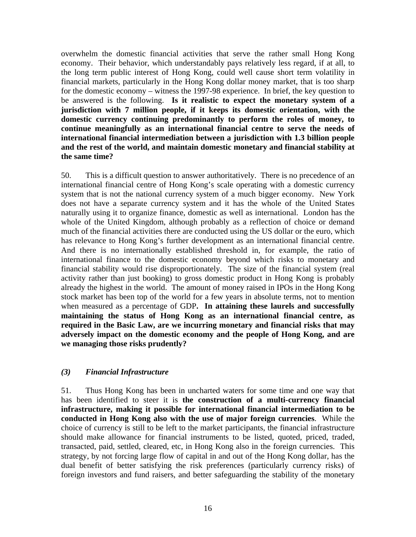overwhelm the domestic financial activities that serve the rather small Hong Kong economy. Their behavior, which understandably pays relatively less regard, if at all, to the long term public interest of Hong Kong, could well cause short term volatility in financial markets, particularly in the Hong Kong dollar money market, that is too sharp for the domestic economy – witness the 1997-98 experience. In brief, the key question to be answered is the following. **Is it realistic to expect the monetary system of a jurisdiction with 7 million people, if it keeps its domestic orientation, with the domestic currency continuing predominantly to perform the roles of money, to continue meaningfully as an international financial centre to serve the needs of international financial intermediation between a jurisdiction with 1.3 billion people and the rest of the world, and maintain domestic monetary and financial stability at the same time?**

50. This is a difficult question to answer authoritatively. There is no precedence of an international financial centre of Hong Kong's scale operating with a domestic currency system that is not the national currency system of a much bigger economy. New York does not have a separate currency system and it has the whole of the United States naturally using it to organize finance, domestic as well as international. London has the whole of the United Kingdom, although probably as a reflection of choice or demand much of the financial activities there are conducted using the US dollar or the euro, which has relevance to Hong Kong's further development as an international financial centre. And there is no internationally established threshold in, for example, the ratio of international finance to the domestic economy beyond which risks to monetary and financial stability would rise disproportionately. The size of the financial system (real activity rather than just booking) to gross domestic product in Hong Kong is probably already the highest in the world. The amount of money raised in IPOs in the Hong Kong stock market has been top of the world for a few years in absolute terms, not to mention when measured as a percentage of GDP**. In attaining these laurels and successfully maintaining the status of Hong Kong as an international financial centre, as required in the Basic Law, are we incurring monetary and financial risks that may adversely impact on the domestic economy and the people of Hong Kong, and are we managing those risks prudently?**

### *(3) Financial Infrastructure*

51. Thus Hong Kong has been in uncharted waters for some time and one way that has been identified to steer it is **the construction of a multi-currency financial infrastructure, making it possible for international financial intermediation to be conducted in Hong Kong also with the use of major foreign currencies**. While the choice of currency is still to be left to the market participants, the financial infrastructure should make allowance for financial instruments to be listed, quoted, priced, traded, transacted, paid, settled, cleared, etc, in Hong Kong also in the foreign currencies. This strategy, by not forcing large flow of capital in and out of the Hong Kong dollar, has the dual benefit of better satisfying the risk preferences (particularly currency risks) of foreign investors and fund raisers, and better safeguarding the stability of the monetary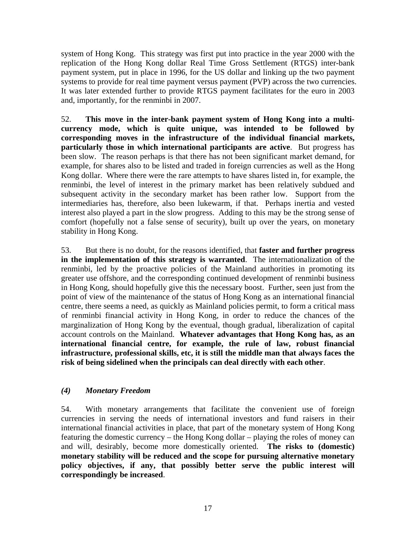system of Hong Kong. This strategy was first put into practice in the year 2000 with the replication of the Hong Kong dollar Real Time Gross Settlement (RTGS) inter-bank payment system, put in place in 1996, for the US dollar and linking up the two payment systems to provide for real time payment versus payment (PVP) across the two currencies. It was later extended further to provide RTGS payment facilitates for the euro in 2003 and, importantly, for the renminbi in 2007.

52. **This move in the inter-bank payment system of Hong Kong into a multicurrency mode, which is quite unique, was intended to be followed by corresponding moves in the infrastructure of the individual financial markets, particularly those in which international participants are active**. But progress has been slow. The reason perhaps is that there has not been significant market demand, for example, for shares also to be listed and traded in foreign currencies as well as the Hong Kong dollar. Where there were the rare attempts to have shares listed in, for example, the renminbi, the level of interest in the primary market has been relatively subdued and subsequent activity in the secondary market has been rather low. Support from the intermediaries has, therefore, also been lukewarm, if that. Perhaps inertia and vested interest also played a part in the slow progress. Adding to this may be the strong sense of comfort (hopefully not a false sense of security), built up over the years, on monetary stability in Hong Kong.

53. But there is no doubt, for the reasons identified, that **faster and further progress in the implementation of this strategy is warranted**. The internationalization of the renminbi, led by the proactive policies of the Mainland authorities in promoting its greater use offshore, and the corresponding continued development of renminbi business in Hong Kong, should hopefully give this the necessary boost. Further, seen just from the point of view of the maintenance of the status of Hong Kong as an international financial centre, there seems a need, as quickly as Mainland policies permit, to form a critical mass of renminbi financial activity in Hong Kong, in order to reduce the chances of the marginalization of Hong Kong by the eventual, though gradual, liberalization of capital account controls on the Mainland. **Whatever advantages that Hong Kong has, as an international financial centre, for example, the rule of law, robust financial infrastructure, professional skills, etc, it is still the middle man that always faces the risk of being sidelined when the principals can deal directly with each other**.

### *(4) Monetary Freedom*

54. With monetary arrangements that facilitate the convenient use of foreign currencies in serving the needs of international investors and fund raisers in their international financial activities in place, that part of the monetary system of Hong Kong featuring the domestic currency – the Hong Kong dollar – playing the roles of money can and will, desirably, become more domestically oriented. **The risks to (domestic) monetary stability will be reduced and the scope for pursuing alternative monetary policy objectives, if any, that possibly better serve the public interest will correspondingly be increased**.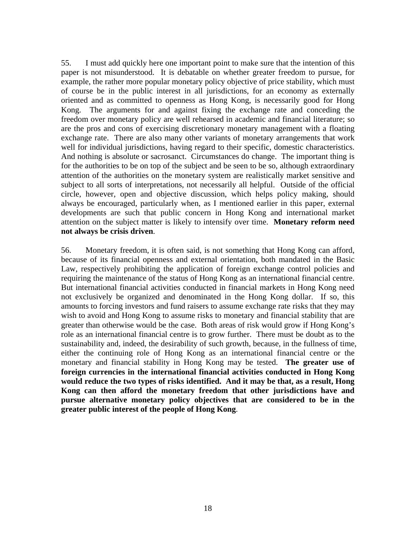55. I must add quickly here one important point to make sure that the intention of this paper is not misunderstood. It is debatable on whether greater freedom to pursue, for example, the rather more popular monetary policy objective of price stability, which must of course be in the public interest in all jurisdictions, for an economy as externally oriented and as committed to openness as Hong Kong, is necessarily good for Hong Kong. The arguments for and against fixing the exchange rate and conceding the freedom over monetary policy are well rehearsed in academic and financial literature; so are the pros and cons of exercising discretionary monetary management with a floating exchange rate. There are also many other variants of monetary arrangements that work well for individual jurisdictions, having regard to their specific, domestic characteristics. And nothing is absolute or sacrosanct. Circumstances do change. The important thing is for the authorities to be on top of the subject and be seen to be so, although extraordinary attention of the authorities on the monetary system are realistically market sensitive and subject to all sorts of interpretations, not necessarily all helpful. Outside of the official circle, however, open and objective discussion, which helps policy making, should always be encouraged, particularly when, as I mentioned earlier in this paper, external developments are such that public concern in Hong Kong and international market attention on the subject matter is likely to intensify over time. **Monetary reform need not always be crisis driven**.

56. Monetary freedom, it is often said, is not something that Hong Kong can afford, because of its financial openness and external orientation, both mandated in the Basic Law, respectively prohibiting the application of foreign exchange control policies and requiring the maintenance of the status of Hong Kong as an international financial centre. But international financial activities conducted in financial markets in Hong Kong need not exclusively be organized and denominated in the Hong Kong dollar. If so, this amounts to forcing investors and fund raisers to assume exchange rate risks that they may wish to avoid and Hong Kong to assume risks to monetary and financial stability that are greater than otherwise would be the case. Both areas of risk would grow if Hong Kong's role as an international financial centre is to grow further. There must be doubt as to the sustainability and, indeed, the desirability of such growth, because, in the fullness of time, either the continuing role of Hong Kong as an international financial centre or the monetary and financial stability in Hong Kong may be tested. **The greater use of foreign currencies in the international financial activities conducted in Hong Kong would reduce the two types of risks identified. And it may be that, as a result, Hong Kong can then afford the monetary freedom that other jurisdictions have and pursue alternative monetary policy objectives that are considered to be in the greater public interest of the people of Hong Kong**.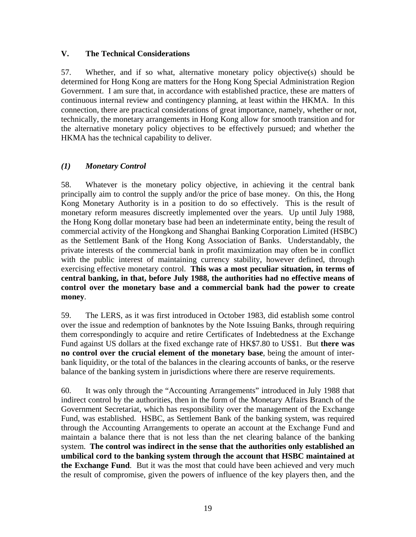### **V. The Technical Considerations**

57. Whether, and if so what, alternative monetary policy objective(s) should be determined for Hong Kong are matters for the Hong Kong Special Administration Region Government. I am sure that, in accordance with established practice, these are matters of continuous internal review and contingency planning, at least within the HKMA. In this connection, there are practical considerations of great importance, namely, whether or not, technically, the monetary arrangements in Hong Kong allow for smooth transition and for the alternative monetary policy objectives to be effectively pursued; and whether the HKMA has the technical capability to deliver.

### *(1) Monetary Control*

58. Whatever is the monetary policy objective, in achieving it the central bank principally aim to control the supply and/or the price of base money. On this, the Hong Kong Monetary Authority is in a position to do so effectively. This is the result of monetary reform measures discreetly implemented over the years. Up until July 1988, the Hong Kong dollar monetary base had been an indeterminate entity, being the result of commercial activity of the Hongkong and Shanghai Banking Corporation Limited (HSBC) as the Settlement Bank of the Hong Kong Association of Banks. Understandably, the private interests of the commercial bank in profit maximization may often be in conflict with the public interest of maintaining currency stability, however defined, through exercising effective monetary control. **This was a most peculiar situation, in terms of central banking, in that, before July 1988, the authorities had no effective means of control over the monetary base and a commercial bank had the power to create money**.

59. The LERS, as it was first introduced in October 1983, did establish some control over the issue and redemption of banknotes by the Note Issuing Banks, through requiring them correspondingly to acquire and retire Certificates of Indebtedness at the Exchange Fund against US dollars at the fixed exchange rate of HK\$7.80 to US\$1. But **there was no control over the crucial element of the monetary base**, being the amount of interbank liquidity, or the total of the balances in the clearing accounts of banks, or the reserve balance of the banking system in jurisdictions where there are reserve requirements.

60. It was only through the "Accounting Arrangements" introduced in July 1988 that indirect control by the authorities, then in the form of the Monetary Affairs Branch of the Government Secretariat, which has responsibility over the management of the Exchange Fund, was established. HSBC, as Settlement Bank of the banking system, was required through the Accounting Arrangements to operate an account at the Exchange Fund and maintain a balance there that is not less than the net clearing balance of the banking system. **The control was indirect in the sense that the authorities only established an umbilical cord to the banking system through the account that HSBC maintained at the Exchange Fund**. But it was the most that could have been achieved and very much the result of compromise, given the powers of influence of the key players then, and the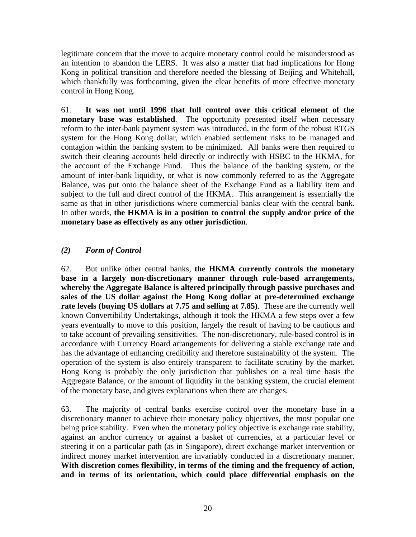legitimate concern that the move to acquire monetary control could be misunderstood as an intention to abandon the LERS. It was also a matter that had implications for Hong Kong in political transition and therefore needed the blessing of Beijing and Whitehall, which thankfully was forthcoming, given the clear benefits of more effective monetary control in Hong Kong.

61. **It was not until 1996 that full control over this critical element of the monetary base was established**. The opportunity presented itself when necessary reform to the inter-bank payment system was introduced, in the form of the robust RTGS system for the Hong Kong dollar, which enabled settlement risks to be managed and contagion within the banking system to be minimized. All banks were then required to switch their clearing accounts held directly or indirectly with HSBC to the HKMA, for the account of the Exchange Fund. Thus the balance of the banking system, or the amount of inter-bank liquidity, or what is now commonly referred to as the Aggregate Balance, was put onto the balance sheet of the Exchange Fund as a liability item and subject to the full and direct control of the HKMA. This arrangement is essentially the same as that in other jurisdictions where commercial banks clear with the central bank. In other words, **the HKMA is in a position to control the supply and/or price of the monetary base as effectively as any other jurisdiction**.

### *(2) Form of Control*

62. But unlike other central banks, **the HKMA currently controls the monetary base in a largely non-discretionary manner through rule-based arrangements, whereby the Aggregate Balance is altered principally through passive purchases and sales of the US dollar against the Hong Kong dollar at pre-determined exchange rate levels (buying US dollars at 7.75 and selling at 7.85)**. These are the currently well known Convertibility Undertakings, although it took the HKMA a few steps over a few years eventually to move to this position, largely the result of having to be cautious and to take account of prevailing sensitivities. The non-discretionary, rule-based control is in accordance with Currency Board arrangements for delivering a stable exchange rate and has the advantage of enhancing credibility and therefore sustainability of the system. The operation of the system is also entirely transparent to facilitate scrutiny by the market. Hong Kong is probably the only jurisdiction that publishes on a real time basis the Aggregate Balance, or the amount of liquidity in the banking system, the crucial element of the monetary base, and gives explanations when there are changes.

63. The majority of central banks exercise control over the monetary base in a discretionary manner to achieve their monetary policy objectives, the most popular one being price stability. Even when the monetary policy objective is exchange rate stability, against an anchor currency or against a basket of currencies, at a particular level or steering it on a particular path (as in Singapore), direct exchange market intervention or indirect money market intervention are invariably conducted in a discretionary manner. **With discretion comes flexibility, in terms of the timing and the frequency of action, and in terms of its orientation, which could place differential emphasis on the**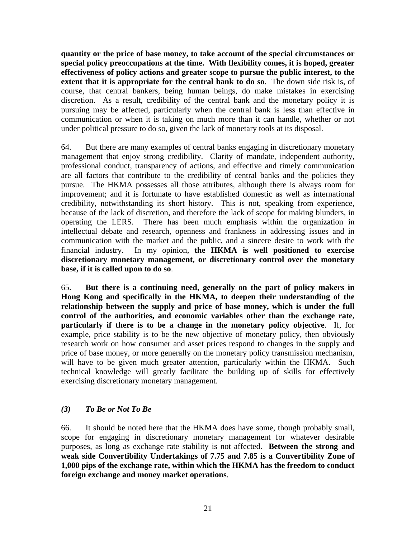**quantity or the price of base money, to take account of the special circumstances or special policy preoccupations at the time. With flexibility comes, it is hoped, greater effectiveness of policy actions and greater scope to pursue the public interest, to the extent that it is appropriate for the central bank to do so**. The down side risk is, of course, that central bankers, being human beings, do make mistakes in exercising discretion. As a result, credibility of the central bank and the monetary policy it is pursuing may be affected, particularly when the central bank is less than effective in communication or when it is taking on much more than it can handle, whether or not under political pressure to do so, given the lack of monetary tools at its disposal.

64. But there are many examples of central banks engaging in discretionary monetary management that enjoy strong credibility. Clarity of mandate, independent authority, professional conduct, transparency of actions, and effective and timely communication are all factors that contribute to the credibility of central banks and the policies they pursue. The HKMA possesses all those attributes, although there is always room for improvement; and it is fortunate to have established domestic as well as international credibility, notwithstanding its short history. This is not, speaking from experience, because of the lack of discretion, and therefore the lack of scope for making blunders, in operating the LERS. There has been much emphasis within the organization in intellectual debate and research, openness and frankness in addressing issues and in communication with the market and the public, and a sincere desire to work with the financial industry. In my opinion, **the HKMA is well positioned to exercise discretionary monetary management, or discretionary control over the monetary base, if it is called upon to do so**.

65. **But there is a continuing need, generally on the part of policy makers in Hong Kong and specifically in the HKMA, to deepen their understanding of the relationship between the supply and price of base money, which is under the full control of the authorities, and economic variables other than the exchange rate, particularly if there is to be a change in the monetary policy objective**. If, for example, price stability is to be the new objective of monetary policy, then obviously research work on how consumer and asset prices respond to changes in the supply and price of base money, or more generally on the monetary policy transmission mechanism, will have to be given much greater attention, particularly within the HKMA. Such technical knowledge will greatly facilitate the building up of skills for effectively exercising discretionary monetary management.

### *(3) To Be or Not To Be*

66. It should be noted here that the HKMA does have some, though probably small, scope for engaging in discretionary monetary management for whatever desirable purposes, as long as exchange rate stability is not affected. **Between the strong and weak side Convertibility Undertakings of 7.75 and 7.85 is a Convertibility Zone of 1,000 pips of the exchange rate, within which the HKMA has the freedom to conduct foreign exchange and money market operations**.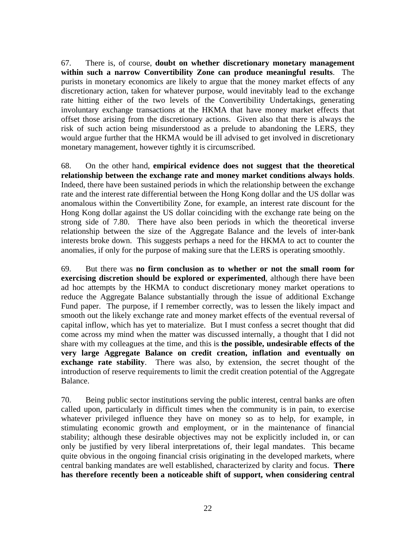67. There is, of course, **doubt on whether discretionary monetary management within such a narrow Convertibility Zone can produce meaningful results**. The purists in monetary economics are likely to argue that the money market effects of any discretionary action, taken for whatever purpose, would inevitably lead to the exchange rate hitting either of the two levels of the Convertibility Undertakings, generating involuntary exchange transactions at the HKMA that have money market effects that offset those arising from the discretionary actions. Given also that there is always the risk of such action being misunderstood as a prelude to abandoning the LERS, they would argue further that the HKMA would be ill advised to get involved in discretionary monetary management, however tightly it is circumscribed.

68. On the other hand, **empirical evidence does not suggest that the theoretical relationship between the exchange rate and money market conditions always holds**. Indeed, there have been sustained periods in which the relationship between the exchange rate and the interest rate differential between the Hong Kong dollar and the US dollar was anomalous within the Convertibility Zone, for example, an interest rate discount for the Hong Kong dollar against the US dollar coinciding with the exchange rate being on the strong side of 7.80. There have also been periods in which the theoretical inverse relationship between the size of the Aggregate Balance and the levels of inter-bank interests broke down. This suggests perhaps a need for the HKMA to act to counter the anomalies, if only for the purpose of making sure that the LERS is operating smoothly.

69. But there was **no firm conclusion as to whether or not the small room for exercising discretion should be explored or experimented**, although there have been ad hoc attempts by the HKMA to conduct discretionary money market operations to reduce the Aggregate Balance substantially through the issue of additional Exchange Fund paper. The purpose, if I remember correctly, was to lessen the likely impact and smooth out the likely exchange rate and money market effects of the eventual reversal of capital inflow, which has yet to materialize. But I must confess a secret thought that did come across my mind when the matter was discussed internally, a thought that I did not share with my colleagues at the time, and this is **the possible, undesirable effects of the very large Aggregate Balance on credit creation, inflation and eventually on exchange rate stability**. There was also, by extension, the secret thought of the introduction of reserve requirements to limit the credit creation potential of the Aggregate Balance.

70. Being public sector institutions serving the public interest, central banks are often called upon, particularly in difficult times when the community is in pain, to exercise whatever privileged influence they have on money so as to help, for example, in stimulating economic growth and employment, or in the maintenance of financial stability; although these desirable objectives may not be explicitly included in, or can only be justified by very liberal interpretations of, their legal mandates. This became quite obvious in the ongoing financial crisis originating in the developed markets, where central banking mandates are well established, characterized by clarity and focus. **There has therefore recently been a noticeable shift of support, when considering central**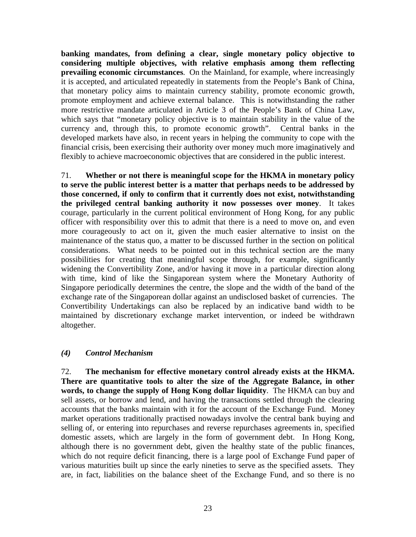**banking mandates, from defining a clear, single monetary policy objective to considering multiple objectives, with relative emphasis among them reflecting prevailing economic circumstances**. On the Mainland, for example, where increasingly it is accepted, and articulated repeatedly in statements from the People's Bank of China, that monetary policy aims to maintain currency stability, promote economic growth, promote employment and achieve external balance. This is notwithstanding the rather more restrictive mandate articulated in Article 3 of the People's Bank of China Law, which says that "monetary policy objective is to maintain stability in the value of the currency and, through this, to promote economic growth". Central banks in the developed markets have also, in recent years in helping the community to cope with the financial crisis, been exercising their authority over money much more imaginatively and flexibly to achieve macroeconomic objectives that are considered in the public interest.

71. **Whether or not there is meaningful scope for the HKMA in monetary policy to serve the public interest better is a matter that perhaps needs to be addressed by those concerned, if only to confirm that it currently does not exist, notwithstanding the privileged central banking authority it now possesses over money**. It takes courage, particularly in the current political environment of Hong Kong, for any public officer with responsibility over this to admit that there is a need to move on, and even more courageously to act on it, given the much easier alternative to insist on the maintenance of the status quo, a matter to be discussed further in the section on political considerations. What needs to be pointed out in this technical section are the many possibilities for creating that meaningful scope through, for example, significantly widening the Convertibility Zone, and/or having it move in a particular direction along with time, kind of like the Singaporean system where the Monetary Authority of Singapore periodically determines the centre, the slope and the width of the band of the exchange rate of the Singaporean dollar against an undisclosed basket of currencies. The Convertibility Undertakings can also be replaced by an indicative band width to be maintained by discretionary exchange market intervention, or indeed be withdrawn altogether.

#### *(4) Control Mechanism*

72. **The mechanism for effective monetary control already exists at the HKMA. There are quantitative tools to alter the size of the Aggregate Balance, in other words, to change the supply of Hong Kong dollar liquidity**. The HKMA can buy and sell assets, or borrow and lend, and having the transactions settled through the clearing accounts that the banks maintain with it for the account of the Exchange Fund. Money market operations traditionally practised nowadays involve the central bank buying and selling of, or entering into repurchases and reverse repurchases agreements in, specified domestic assets, which are largely in the form of government debt. In Hong Kong, although there is no government debt, given the healthy state of the public finances, which do not require deficit financing, there is a large pool of Exchange Fund paper of various maturities built up since the early nineties to serve as the specified assets. They are, in fact, liabilities on the balance sheet of the Exchange Fund, and so there is no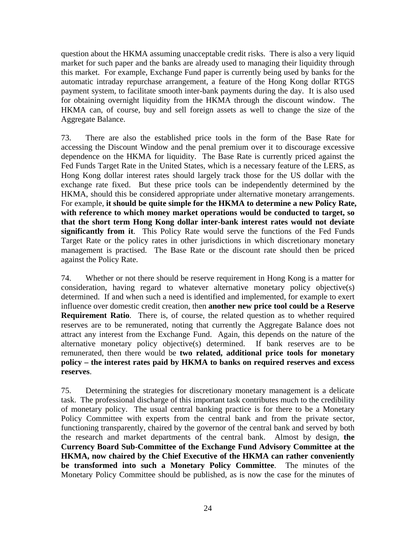question about the HKMA assuming unacceptable credit risks. There is also a very liquid market for such paper and the banks are already used to managing their liquidity through this market. For example, Exchange Fund paper is currently being used by banks for the automatic intraday repurchase arrangement, a feature of the Hong Kong dollar RTGS payment system, to facilitate smooth inter-bank payments during the day. It is also used for obtaining overnight liquidity from the HKMA through the discount window. The HKMA can, of course, buy and sell foreign assets as well to change the size of the Aggregate Balance.

73. There are also the established price tools in the form of the Base Rate for accessing the Discount Window and the penal premium over it to discourage excessive dependence on the HKMA for liquidity. The Base Rate is currently priced against the Fed Funds Target Rate in the United States, which is a necessary feature of the LERS, as Hong Kong dollar interest rates should largely track those for the US dollar with the exchange rate fixed. But these price tools can be independently determined by the HKMA, should this be considered appropriate under alternative monetary arrangements. For example, **it should be quite simple for the HKMA to determine a new Policy Rate, with reference to which money market operations would be conducted to target, so that the short term Hong Kong dollar inter-bank interest rates would not deviate significantly from it**. This Policy Rate would serve the functions of the Fed Funds Target Rate or the policy rates in other jurisdictions in which discretionary monetary management is practised. The Base Rate or the discount rate should then be priced against the Policy Rate.

74. Whether or not there should be reserve requirement in Hong Kong is a matter for consideration, having regard to whatever alternative monetary policy objective(s) determined. If and when such a need is identified and implemented, for example to exert influence over domestic credit creation, then **another new price tool could be a Reserve Requirement Ratio**. There is, of course, the related question as to whether required reserves are to be remunerated, noting that currently the Aggregate Balance does not attract any interest from the Exchange Fund. Again, this depends on the nature of the alternative monetary policy objective(s) determined. If bank reserves are to be remunerated, then there would be **two related, additional price tools for monetary policy – the interest rates paid by HKMA to banks on required reserves and excess reserves**.

75. Determining the strategies for discretionary monetary management is a delicate task. The professional discharge of this important task contributes much to the credibility of monetary policy. The usual central banking practice is for there to be a Monetary Policy Committee with experts from the central bank and from the private sector, functioning transparently, chaired by the governor of the central bank and served by both the research and market departments of the central bank. Almost by design, **the Currency Board Sub-Committee of the Exchange Fund Advisory Committee at the HKMA, now chaired by the Chief Executive of the HKMA can rather conveniently be transformed into such a Monetary Policy Committee**. The minutes of the Monetary Policy Committee should be published, as is now the case for the minutes of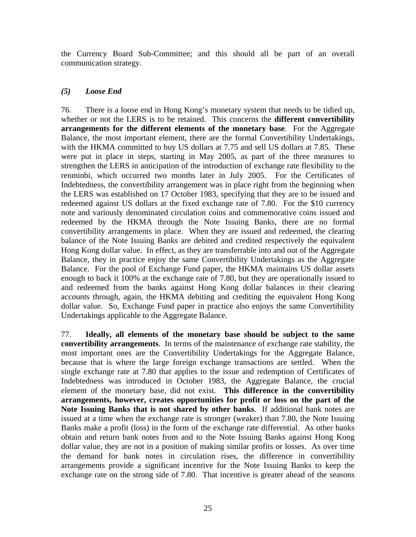the Currency Board Sub-Committee; and this should all be part of an overall communication strategy.

#### *(5) Loose End*

76. There is a loose end in Hong Kong's monetary system that needs to be tidied up, whether or not the LERS is to be retained. This concerns the **different convertibility arrangements for the different elements of the monetary base**. For the Aggregate Balance, the most important element, there are the formal Convertibility Undertakings, with the HKMA committed to buy US dollars at 7.75 and sell US dollars at 7.85. These were put in place in steps, starting in May 2005, as part of the three measures to strengthen the LERS in anticipation of the introduction of exchange rate flexibility to the renminbi, which occurred two months later in July 2005. For the Certificates of Indebtedness, the convertibility arrangement was in place right from the beginning when the LERS was established on 17 October 1983, specifying that they are to be issued and redeemed against US dollars at the fixed exchange rate of 7.80. For the \$10 currency note and variously denominated circulation coins and commemorative coins issued and redeemed by the HKMA through the Note Issuing Banks, there are no formal convertibility arrangements in place. When they are issued and redeemed, the clearing balance of the Note Issuing Banks are debited and credited respectively the equivalent Hong Kong dollar value. In effect, as they are transferrable into and out of the Aggregate Balance, they in practice enjoy the same Convertibility Undertakings as the Aggregate Balance. For the pool of Exchange Fund paper, the HKMA maintains US dollar assets enough to back it 100% at the exchange rate of 7.80, but they are operationally issued to and redeemed from the banks against Hong Kong dollar balances in their clearing accounts through, again, the HKMA debiting and crediting the equivalent Hong Kong dollar value. So, Exchange Fund paper in practice also enjoys the same Convertibility Undertakings applicable to the Aggregate Balance.

77. **Ideally, all elements of the monetary base should be subject to the same convertibility arrangements**. In terms of the maintenance of exchange rate stability, the most important ones are the Convertibility Undertakings for the Aggregate Balance, because that is where the large foreign exchange transactions are settled. When the single exchange rate at 7.80 that applies to the issue and redemption of Certificates of Indebtedness was introduced in October 1983, the Aggregate Balance, the crucial element of the monetary base, did not exist. **This difference in the convertibility arrangements, however, creates opportunities for profit or loss on the part of the Note Issuing Banks that is not shared by other banks**. If additional bank notes are issued at a time when the exchange rate is stronger (weaker) than 7.80, the Note Issuing Banks make a profit (loss) in the form of the exchange rate differential. As other banks obtain and return bank notes from and to the Note Issuing Banks against Hong Kong dollar value, they are not in a position of making similar profits or losses. As over time the demand for bank notes in circulation rises, the difference in convertibility arrangements provide a significant incentive for the Note Issuing Banks to keep the exchange rate on the strong side of 7.80. That incentive is greater ahead of the seasons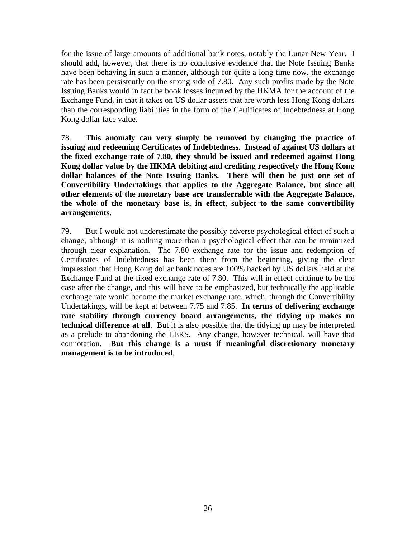for the issue of large amounts of additional bank notes, notably the Lunar New Year. I should add, however, that there is no conclusive evidence that the Note Issuing Banks have been behaving in such a manner, although for quite a long time now, the exchange rate has been persistently on the strong side of 7.80. Any such profits made by the Note Issuing Banks would in fact be book losses incurred by the HKMA for the account of the Exchange Fund, in that it takes on US dollar assets that are worth less Hong Kong dollars than the corresponding liabilities in the form of the Certificates of Indebtedness at Hong Kong dollar face value.

78. **This anomaly can very simply be removed by changing the practice of issuing and redeeming Certificates of Indebtedness. Instead of against US dollars at the fixed exchange rate of 7.80, they should be issued and redeemed against Hong Kong dollar value by the HKMA debiting and crediting respectively the Hong Kong dollar balances of the Note Issuing Banks. There will then be just one set of Convertibility Undertakings that applies to the Aggregate Balance, but since all other elements of the monetary base are transferrable with the Aggregate Balance, the whole of the monetary base is, in effect, subject to the same convertibility arrangements**.

79. But I would not underestimate the possibly adverse psychological effect of such a change, although it is nothing more than a psychological effect that can be minimized through clear explanation. The 7.80 exchange rate for the issue and redemption of Certificates of Indebtedness has been there from the beginning, giving the clear impression that Hong Kong dollar bank notes are 100% backed by US dollars held at the Exchange Fund at the fixed exchange rate of 7.80. This will in effect continue to be the case after the change, and this will have to be emphasized, but technically the applicable exchange rate would become the market exchange rate, which, through the Convertibility Undertakings, will be kept at between 7.75 and 7.85. **In terms of delivering exchange rate stability through currency board arrangements, the tidying up makes no technical difference at all**. But it is also possible that the tidying up may be interpreted as a prelude to abandoning the LERS. Any change, however technical, will have that connotation. **But this change is a must if meaningful discretionary monetary management is to be introduced**.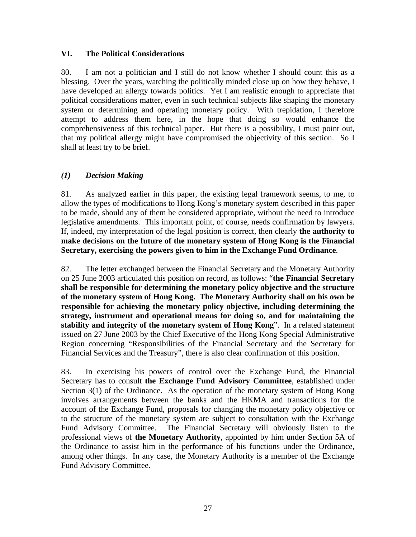#### **VI. The Political Considerations**

80. I am not a politician and I still do not know whether I should count this as a blessing. Over the years, watching the politically minded close up on how they behave, I have developed an allergy towards politics. Yet I am realistic enough to appreciate that political considerations matter, even in such technical subjects like shaping the monetary system or determining and operating monetary policy. With trepidation, I therefore attempt to address them here, in the hope that doing so would enhance the comprehensiveness of this technical paper. But there is a possibility, I must point out, that my political allergy might have compromised the objectivity of this section. So I shall at least try to be brief.

### *(1) Decision Making*

81. As analyzed earlier in this paper, the existing legal framework seems, to me, to allow the types of modifications to Hong Kong's monetary system described in this paper to be made, should any of them be considered appropriate, without the need to introduce legislative amendments. This important point, of course, needs confirmation by lawyers. If, indeed, my interpretation of the legal position is correct, then clearly **the authority to make decisions on the future of the monetary system of Hong Kong is the Financial Secretary, exercising the powers given to him in the Exchange Fund Ordinance**.

82. The letter exchanged between the Financial Secretary and the Monetary Authority on 25 June 2003 articulated this position on record, as follows: "**the Financial Secretary shall be responsible for determining the monetary policy objective and the structure of the monetary system of Hong Kong. The Monetary Authority shall on his own be responsible for achieving the monetary policy objective, including determining the strategy, instrument and operational means for doing so, and for maintaining the stability and integrity of the monetary system of Hong Kong**". In a related statement issued on 27 June 2003 by the Chief Executive of the Hong Kong Special Administrative Region concerning "Responsibilities of the Financial Secretary and the Secretary for Financial Services and the Treasury", there is also clear confirmation of this position.

83. In exercising his powers of control over the Exchange Fund, the Financial Secretary has to consult **the Exchange Fund Advisory Committee**, established under Section 3(1) of the Ordinance. As the operation of the monetary system of Hong Kong involves arrangements between the banks and the HKMA and transactions for the account of the Exchange Fund, proposals for changing the monetary policy objective or to the structure of the monetary system are subject to consultation with the Exchange Fund Advisory Committee. The Financial Secretary will obviously listen to the professional views of **the Monetary Authority**, appointed by him under Section 5A of the Ordinance to assist him in the performance of his functions under the Ordinance, among other things. In any case, the Monetary Authority is a member of the Exchange Fund Advisory Committee.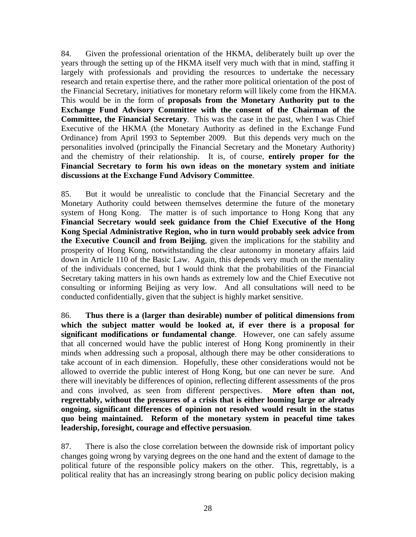84. Given the professional orientation of the HKMA, deliberately built up over the years through the setting up of the HKMA itself very much with that in mind, staffing it largely with professionals and providing the resources to undertake the necessary research and retain expertise there, and the rather more political orientation of the post of the Financial Secretary, initiatives for monetary reform will likely come from the HKMA. This would be in the form of **proposals from the Monetary Authority put to the Exchange Fund Advisory Committee with the consent of the Chairman of the Committee, the Financial Secretary**. This was the case in the past, when I was Chief Executive of the HKMA (the Monetary Authority as defined in the Exchange Fund Ordinance) from April 1993 to September 2009. But this depends very much on the personalities involved (principally the Financial Secretary and the Monetary Authority) and the chemistry of their relationship. It is, of course, **entirely proper for the Financial Secretary to form his own ideas on the monetary system and initiate discussions at the Exchange Fund Advisory Committee**.

85. But it would be unrealistic to conclude that the Financial Secretary and the Monetary Authority could between themselves determine the future of the monetary system of Hong Kong. The matter is of such importance to Hong Kong that any **Financial Secretary would seek guidance from the Chief Executive of the Hong Kong Special Administrative Region, who in turn would probably seek advice from the Executive Council and from Beijing**, given the implications for the stability and prosperity of Hong Kong, notwithstanding the clear autonomy in monetary affairs laid down in Article 110 of the Basic Law. Again, this depends very much on the mentality of the individuals concerned, but I would think that the probabilities of the Financial Secretary taking matters in his own hands as extremely low and the Chief Executive not consulting or informing Beijing as very low. And all consultations will need to be conducted confidentially, given that the subject is highly market sensitive.

86. **Thus there is a (larger than desirable) number of political dimensions from which the subject matter would be looked at, if ever there is a proposal for significant modifications or fundamental change**. However, one can safely assume that all concerned would have the public interest of Hong Kong prominently in their minds when addressing such a proposal, although there may be other considerations to take account of in each dimension. Hopefully, these other considerations would not be allowed to override the public interest of Hong Kong, but one can never be sure. And there will inevitably be differences of opinion, reflecting different assessments of the pros and cons involved, as seen from different perspectives. **More often than not, regrettably, without the pressures of a crisis that is either looming large or already ongoing, significant differences of opinion not resolved would result in the status quo being maintained. Reform of the monetary system in peaceful time takes leadership, foresight, courage and effective persuasion**.

87. There is also the close correlation between the downside risk of important policy changes going wrong by varying degrees on the one hand and the extent of damage to the political future of the responsible policy makers on the other. This, regrettably, is a political reality that has an increasingly strong bearing on public policy decision making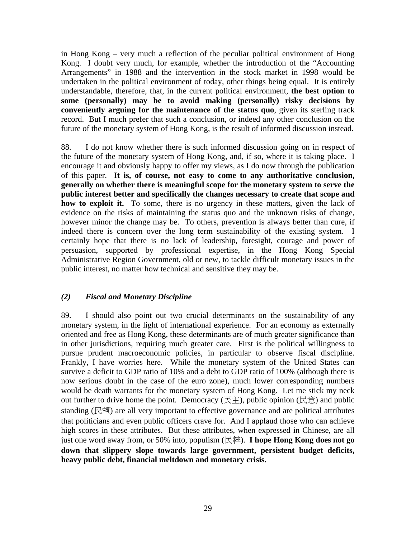in Hong Kong – very much a reflection of the peculiar political environment of Hong Kong. I doubt very much, for example, whether the introduction of the "Accounting Arrangements" in 1988 and the intervention in the stock market in 1998 would be undertaken in the political environment of today, other things being equal. It is entirely understandable, therefore, that, in the current political environment, **the best option to some (personally) may be to avoid making (personally) risky decisions by conveniently arguing for the maintenance of the status quo**, given its sterling track record. But I much prefer that such a conclusion, or indeed any other conclusion on the future of the monetary system of Hong Kong, is the result of informed discussion instead.

88. I do not know whether there is such informed discussion going on in respect of the future of the monetary system of Hong Kong, and, if so, where it is taking place. I encourage it and obviously happy to offer my views, as I do now through the publication of this paper. **It is, of course, not easy to come to any authoritative conclusion, generally on whether there is meaningful scope for the monetary system to serve the public interest better and specifically the changes necessary to create that scope and how to exploit it.** To some, there is no urgency in these matters, given the lack of evidence on the risks of maintaining the status quo and the unknown risks of change, however minor the change may be. To others, prevention is always better than cure, if indeed there is concern over the long term sustainability of the existing system. I certainly hope that there is no lack of leadership, foresight, courage and power of persuasion, supported by professional expertise, in the Hong Kong Special Administrative Region Government, old or new, to tackle difficult monetary issues in the public interest, no matter how technical and sensitive they may be.

#### *(2) Fiscal and Monetary Discipline*

89. I should also point out two crucial determinants on the sustainability of any monetary system, in the light of international experience. For an economy as externally oriented and free as Hong Kong, these determinants are of much greater significance than in other jurisdictions, requiring much greater care. First is the political willingness to pursue prudent macroeconomic policies, in particular to observe fiscal discipline. Frankly, I have worries here. While the monetary system of the United States can survive a deficit to GDP ratio of 10% and a debt to GDP ratio of 100% (although there is now serious doubt in the case of the euro zone), much lower corresponding numbers would be death warrants for the monetary system of Hong Kong. Let me stick my neck out further to drive home the point. Democracy ( $\chi$  $\pm$ ), public opinion ( $\chi$  $\pm$ ) and public standing (民望) are all very important to effective governance and are political attributes that politicians and even public officers crave for. And I applaud those who can achieve high scores in these attributes. But these attributes, when expressed in Chinese, are all just one word away from, or 50% into, populism (民粹). **I hope Hong Kong does not go down that slippery slope towards large government, persistent budget deficits, heavy public debt, financial meltdown and monetary crisis.**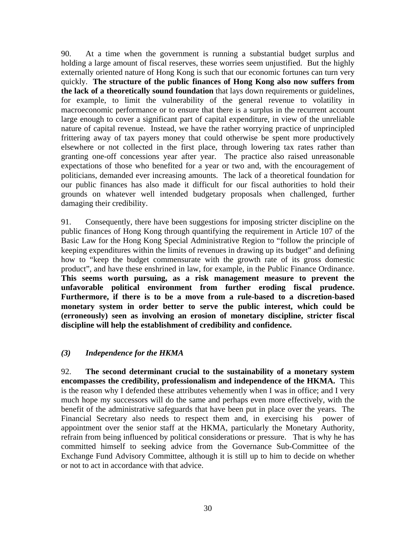90. At a time when the government is running a substantial budget surplus and holding a large amount of fiscal reserves, these worries seem unjustified. But the highly externally oriented nature of Hong Kong is such that our economic fortunes can turn very quickly. **The structure of the public finances of Hong Kong also now suffers from the lack of a theoretically sound foundation** that lays down requirements or guidelines, for example, to limit the vulnerability of the general revenue to volatility in macroeconomic performance or to ensure that there is a surplus in the recurrent account large enough to cover a significant part of capital expenditure, in view of the unreliable nature of capital revenue. Instead, we have the rather worrying practice of unprincipled frittering away of tax payers money that could otherwise be spent more productively elsewhere or not collected in the first place, through lowering tax rates rather than granting one-off concessions year after year. The practice also raised unreasonable expectations of those who benefited for a year or two and, with the encouragement of politicians, demanded ever increasing amounts. The lack of a theoretical foundation for our public finances has also made it difficult for our fiscal authorities to hold their grounds on whatever well intended budgetary proposals when challenged, further damaging their credibility.

91. Consequently, there have been suggestions for imposing stricter discipline on the public finances of Hong Kong through quantifying the requirement in Article 107 of the Basic Law for the Hong Kong Special Administrative Region to "follow the principle of keeping expenditures within the limits of revenues in drawing up its budget" and defining how to "keep the budget commensurate with the growth rate of its gross domestic product", and have these enshrined in law, for example, in the Public Finance Ordinance. **This seems worth pursuing, as a risk management measure to prevent the unfavorable political environment from further eroding fiscal prudence. Furthermore, if there is to be a move from a rule-based to a discretion-based monetary system in order better to serve the public interest, which could be (erroneously) seen as involving an erosion of monetary discipline, stricter fiscal discipline will help the establishment of credibility and confidence.** 

#### *(3) Independence for the HKMA*

92. **The second determinant crucial to the sustainability of a monetary system encompasses the credibility, professionalism and independence of the HKMA.** This is the reason why I defended these attributes vehemently when I was in office; and I very much hope my successors will do the same and perhaps even more effectively, with the benefit of the administrative safeguards that have been put in place over the years. The Financial Secretary also needs to respect them and, in exercising his power of appointment over the senior staff at the HKMA, particularly the Monetary Authority, refrain from being influenced by political considerations or pressure. That is why he has committed himself to seeking advice from the Governance Sub-Committee of the Exchange Fund Advisory Committee, although it is still up to him to decide on whether or not to act in accordance with that advice.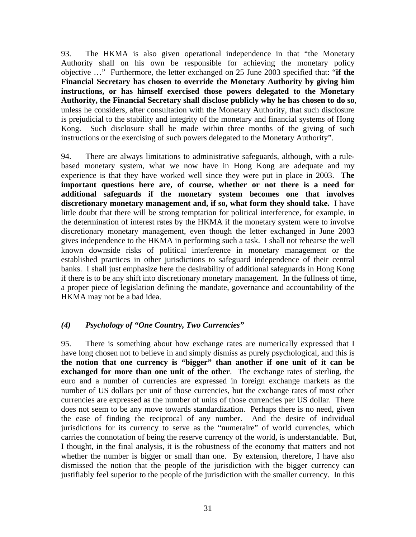93. The HKMA is also given operational independence in that "the Monetary Authority shall on his own be responsible for achieving the monetary policy objective …" Furthermore, the letter exchanged on 25 June 2003 specified that: "**if the Financial Secretary has chosen to override the Monetary Authority by giving him instructions, or has himself exercised those powers delegated to the Monetary Authority, the Financial Secretary shall disclose publicly why he has chosen to do so**, unless he considers, after consultation with the Monetary Authority, that such disclosure is prejudicial to the stability and integrity of the monetary and financial systems of Hong Kong. Such disclosure shall be made within three months of the giving of such instructions or the exercising of such powers delegated to the Monetary Authority".

94. There are always limitations to administrative safeguards, although, with a rulebased monetary system, what we now have in Hong Kong are adequate and my experience is that they have worked well since they were put in place in 2003. **The important questions here are, of course, whether or not there is a need for additional safeguards if the monetary system becomes one that involves discretionary monetary management and, if so, what form they should take.** I have little doubt that there will be strong temptation for political interference, for example, in the determination of interest rates by the HKMA if the monetary system were to involve discretionary monetary management, even though the letter exchanged in June 2003 gives independence to the HKMA in performing such a task. I shall not rehearse the well known downside risks of political interference in monetary management or the established practices in other jurisdictions to safeguard independence of their central banks. I shall just emphasize here the desirability of additional safeguards in Hong Kong if there is to be any shift into discretionary monetary management. In the fullness of time, a proper piece of legislation defining the mandate, governance and accountability of the HKMA may not be a bad idea.

### *(4) Psychology of "One Country, Two Currencies"*

95. There is something about how exchange rates are numerically expressed that I have long chosen not to believe in and simply dismiss as purely psychological, and this is **the notion that one currency is "bigger" than another if one unit of it can be exchanged for more than one unit of the other**. The exchange rates of sterling, the euro and a number of currencies are expressed in foreign exchange markets as the number of US dollars per unit of those currencies, but the exchange rates of most other currencies are expressed as the number of units of those currencies per US dollar. There does not seem to be any move towards standardization. Perhaps there is no need, given the ease of finding the reciprocal of any number. And the desire of individual jurisdictions for its currency to serve as the "numeraire" of world currencies, which carries the connotation of being the reserve currency of the world, is understandable. But, I thought, in the final analysis, it is the robustness of the economy that matters and not whether the number is bigger or small than one. By extension, therefore, I have also dismissed the notion that the people of the jurisdiction with the bigger currency can justifiably feel superior to the people of the jurisdiction with the smaller currency. In this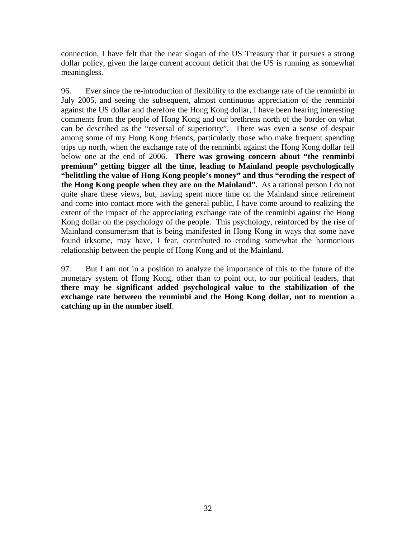connection, I have felt that the near slogan of the US Treasury that it pursues a strong dollar policy, given the large current account deficit that the US is running as somewhat meaningless.

96. Ever since the re-introduction of flexibility to the exchange rate of the renminbi in July 2005, and seeing the subsequent, almost continuous appreciation of the renminbi against the US dollar and therefore the Hong Kong dollar, I have been hearing interesting comments from the people of Hong Kong and our brethrens north of the border on what can be described as the "reversal of superiority". There was even a sense of despair among some of my Hong Kong friends, particularly those who make frequent spending trips up north, when the exchange rate of the renminbi against the Hong Kong dollar fell below one at the end of 2006. **There was growing concern about "the renminbi premium" getting bigger all the time, leading to Mainland people psychologically "belittling the value of Hong Kong people's money" and thus "eroding the respect of the Hong Kong people when they are on the Mainland".** As a rational person I do not quite share these views, but, having spent more time on the Mainland since retirement and come into contact more with the general public, I have come around to realizing the extent of the impact of the appreciating exchange rate of the renminbi against the Hong Kong dollar on the psychology of the people. This psychology, reinforced by the rise of Mainland consumerism that is being manifested in Hong Kong in ways that some have found irksome, may have, I fear, contributed to eroding somewhat the harmonious relationship between the people of Hong Kong and of the Mainland.

97. But I am not in a position to analyze the importance of this to the future of the monetary system of Hong Kong, other than to point out, to our political leaders, that **there may be significant added psychological value to the stabilization of the exchange rate between the renminbi and the Hong Kong dollar, not to mention a catching up in the number itself**.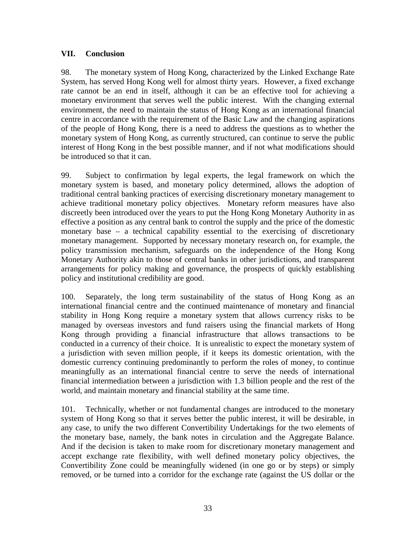### **VII. Conclusion**

98. The monetary system of Hong Kong, characterized by the Linked Exchange Rate System, has served Hong Kong well for almost thirty years. However, a fixed exchange rate cannot be an end in itself, although it can be an effective tool for achieving a monetary environment that serves well the public interest. With the changing external environment, the need to maintain the status of Hong Kong as an international financial centre in accordance with the requirement of the Basic Law and the changing aspirations of the people of Hong Kong, there is a need to address the questions as to whether the monetary system of Hong Kong, as currently structured, can continue to serve the public interest of Hong Kong in the best possible manner, and if not what modifications should be introduced so that it can.

99. Subject to confirmation by legal experts, the legal framework on which the monetary system is based, and monetary policy determined, allows the adoption of traditional central banking practices of exercising discretionary monetary management to achieve traditional monetary policy objectives. Monetary reform measures have also discreetly been introduced over the years to put the Hong Kong Monetary Authority in as effective a position as any central bank to control the supply and the price of the domestic monetary base – a technical capability essential to the exercising of discretionary monetary management. Supported by necessary monetary research on, for example, the policy transmission mechanism, safeguards on the independence of the Hong Kong Monetary Authority akin to those of central banks in other jurisdictions, and transparent arrangements for policy making and governance, the prospects of quickly establishing policy and institutional credibility are good.

100. Separately, the long term sustainability of the status of Hong Kong as an international financial centre and the continued maintenance of monetary and financial stability in Hong Kong require a monetary system that allows currency risks to be managed by overseas investors and fund raisers using the financial markets of Hong Kong through providing a financial infrastructure that allows transactions to be conducted in a currency of their choice. It is unrealistic to expect the monetary system of a jurisdiction with seven million people, if it keeps its domestic orientation, with the domestic currency continuing predominantly to perform the roles of money, to continue meaningfully as an international financial centre to serve the needs of international financial intermediation between a jurisdiction with 1.3 billion people and the rest of the world, and maintain monetary and financial stability at the same time.

101. Technically, whether or not fundamental changes are introduced to the monetary system of Hong Kong so that it serves better the public interest, it will be desirable, in any case, to unify the two different Convertibility Undertakings for the two elements of the monetary base, namely, the bank notes in circulation and the Aggregate Balance. And if the decision is taken to make room for discretionary monetary management and accept exchange rate flexibility, with well defined monetary policy objectives, the Convertibility Zone could be meaningfully widened (in one go or by steps) or simply removed, or be turned into a corridor for the exchange rate (against the US dollar or the